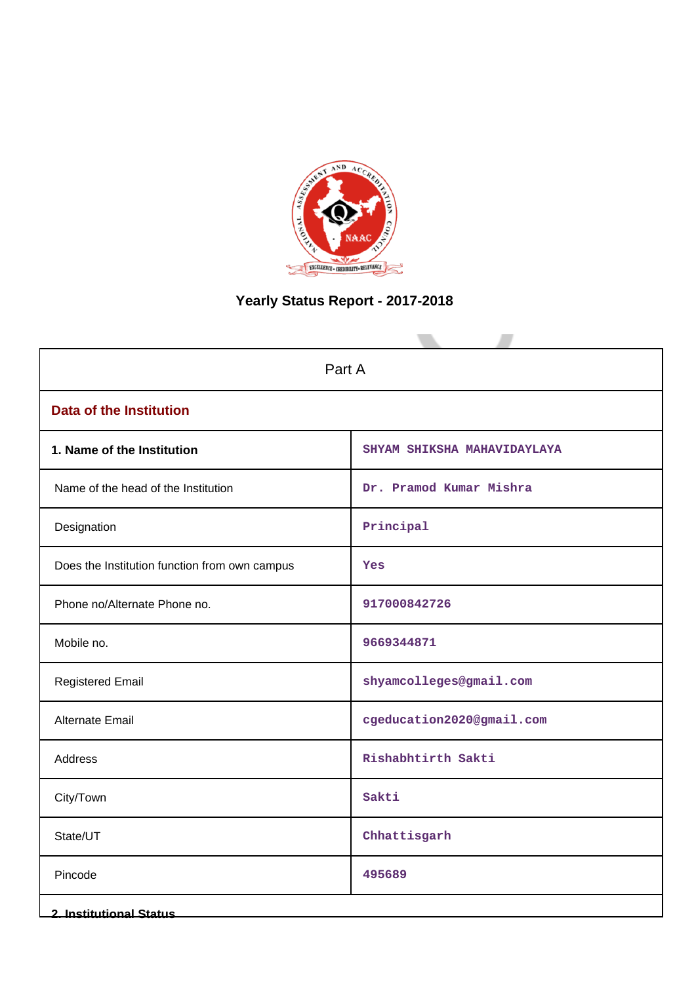

# **Yearly Status Report - 2017-2018**

| Part A                                        |                             |  |  |  |  |  |  |
|-----------------------------------------------|-----------------------------|--|--|--|--|--|--|
| <b>Data of the Institution</b>                |                             |  |  |  |  |  |  |
| 1. Name of the Institution                    | SHYAM SHIKSHA MAHAVIDAYLAYA |  |  |  |  |  |  |
| Name of the head of the Institution           | Dr. Pramod Kumar Mishra     |  |  |  |  |  |  |
| Designation                                   | Principal                   |  |  |  |  |  |  |
| Does the Institution function from own campus | Yes                         |  |  |  |  |  |  |
| Phone no/Alternate Phone no.                  | 917000842726                |  |  |  |  |  |  |
| Mobile no.                                    | 9669344871                  |  |  |  |  |  |  |
| <b>Registered Email</b>                       | shyamcolleges@gmail.com     |  |  |  |  |  |  |
| <b>Alternate Email</b>                        | cgeducation2020@gmail.com   |  |  |  |  |  |  |
| Address                                       | Rishabhtirth Sakti          |  |  |  |  |  |  |
| City/Town                                     | Sakti                       |  |  |  |  |  |  |
| State/UT                                      | Chhattisgarh                |  |  |  |  |  |  |
| Pincode                                       | 495689                      |  |  |  |  |  |  |
| <b>2. Institutional Status</b>                |                             |  |  |  |  |  |  |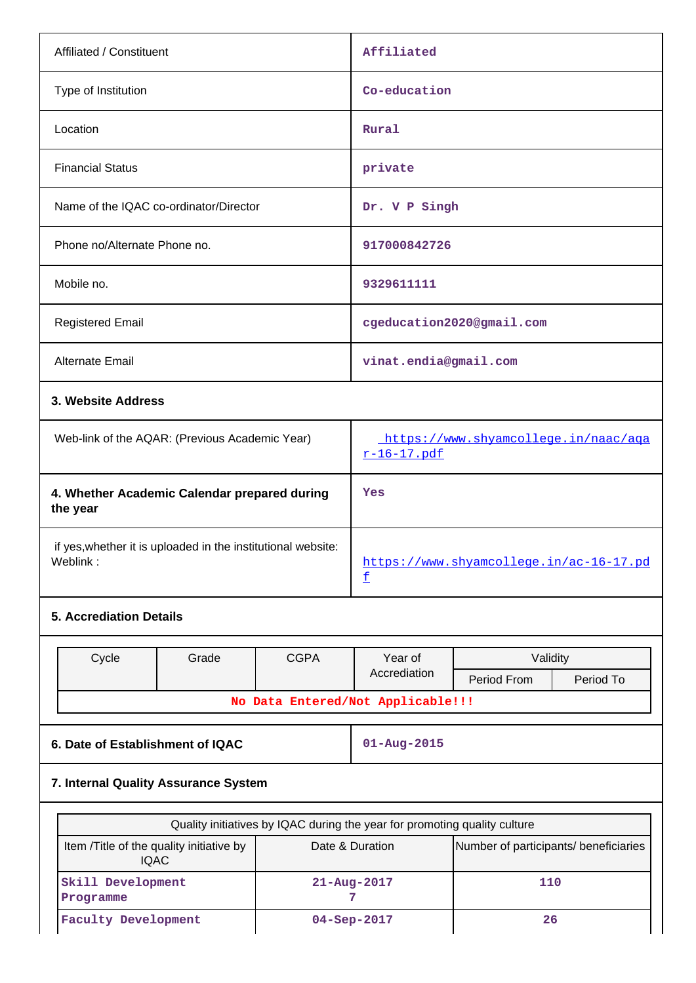| Affiliated / Constituent                                                 |       |             | Affiliated                                                                |                                       |           |  |
|--------------------------------------------------------------------------|-------|-------------|---------------------------------------------------------------------------|---------------------------------------|-----------|--|
| Type of Institution                                                      |       |             | Co-education                                                              |                                       |           |  |
| Location                                                                 |       |             | Rural                                                                     |                                       |           |  |
| <b>Financial Status</b>                                                  |       |             | private                                                                   |                                       |           |  |
| Name of the IQAC co-ordinator/Director                                   |       |             | Dr. V P Singh                                                             |                                       |           |  |
| Phone no/Alternate Phone no.                                             |       |             | 917000842726                                                              |                                       |           |  |
| Mobile no.                                                               |       |             | 9329611111                                                                |                                       |           |  |
| <b>Registered Email</b>                                                  |       |             |                                                                           | cgeducation2020@gmail.com             |           |  |
| Alternate Email                                                          |       |             |                                                                           | vinat.endia@gmail.com                 |           |  |
| 3. Website Address                                                       |       |             |                                                                           |                                       |           |  |
| Web-link of the AQAR: (Previous Academic Year)                           |       |             | https://www.shyamcollege.in/naac/aga<br>r-16-17.pdf                       |                                       |           |  |
| 4. Whether Academic Calendar prepared during<br>the year                 |       |             | Yes                                                                       |                                       |           |  |
| if yes, whether it is uploaded in the institutional website:<br>Weblink: |       |             | https://www.shyamcollege.in/ac-16-17.pd<br>£                              |                                       |           |  |
| <b>5. Accrediation Details</b>                                           |       |             |                                                                           |                                       |           |  |
| Cycle                                                                    | Grade | <b>CGPA</b> | Year of                                                                   | Validity                              |           |  |
|                                                                          |       |             | Accrediation                                                              | Period From                           | Period To |  |
|                                                                          |       |             | No Data Entered/Not Applicable!!!                                         |                                       |           |  |
| 6. Date of Establishment of IQAC                                         |       |             | $01 - Aug - 2015$                                                         |                                       |           |  |
| 7. Internal Quality Assurance System                                     |       |             |                                                                           |                                       |           |  |
|                                                                          |       |             | Quality initiatives by IQAC during the year for promoting quality culture |                                       |           |  |
| Item /Title of the quality initiative by<br><b>IQAC</b>                  |       |             | Date & Duration                                                           | Number of participants/ beneficiaries |           |  |
| Skill Development<br>Programme                                           |       |             | 110<br>21-Aug-2017<br>7                                                   |                                       |           |  |
| <b>Faculty Development</b>                                               |       |             | 04-Sep-2017<br>26                                                         |                                       |           |  |

 $\overline{\phantom{a}}$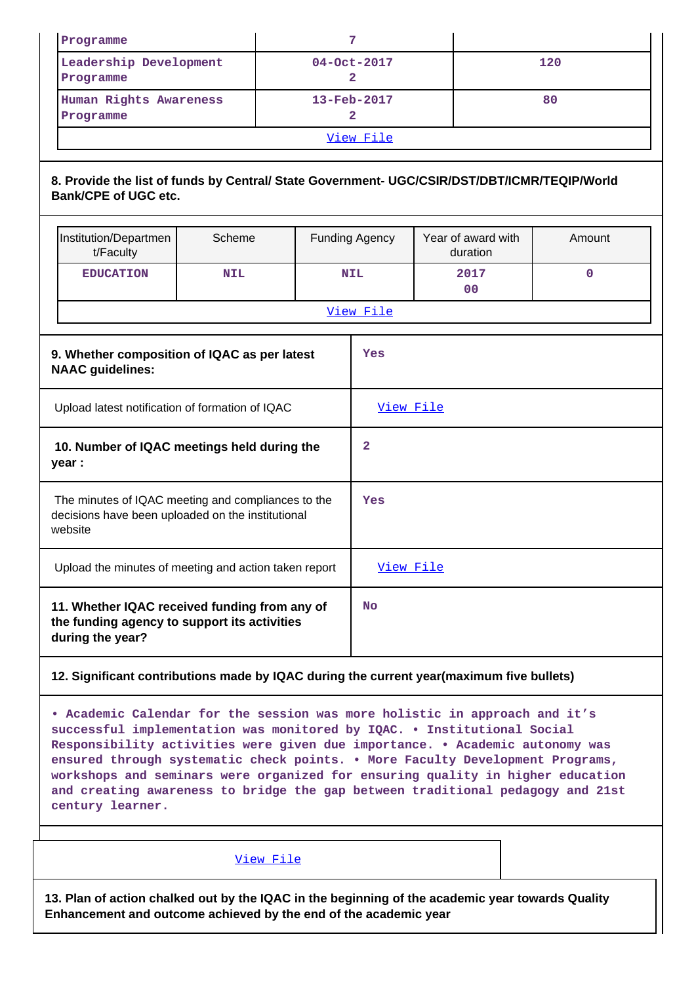| Programme                                                                                                                   |                                                                                                                    |            | 7 |                               |                               |  |                                |             |  |
|-----------------------------------------------------------------------------------------------------------------------------|--------------------------------------------------------------------------------------------------------------------|------------|---|-------------------------------|-------------------------------|--|--------------------------------|-------------|--|
|                                                                                                                             | Leadership Development<br>Programme                                                                                |            |   | 04-Oct-2017<br>$\overline{2}$ |                               |  | 120                            |             |  |
|                                                                                                                             | Human Rights Awareness<br>Programme                                                                                |            |   |                               | 13-Feb-2017<br>$\overline{a}$ |  |                                | 80          |  |
|                                                                                                                             |                                                                                                                    |            |   |                               | View File                     |  |                                |             |  |
| 8. Provide the list of funds by Central/ State Government- UGC/CSIR/DST/DBT/ICMR/TEQIP/World<br><b>Bank/CPE of UGC etc.</b> |                                                                                                                    |            |   |                               |                               |  |                                |             |  |
|                                                                                                                             | Institution/Departmen<br>Scheme<br>t/Faculty                                                                       |            |   |                               | <b>Funding Agency</b>         |  | Year of award with<br>duration | Amount      |  |
|                                                                                                                             | <b>EDUCATION</b>                                                                                                   | <b>NIL</b> |   |                               | <b>NIL</b>                    |  | 2017<br>0 <sup>0</sup>         | $\mathbf 0$ |  |
|                                                                                                                             |                                                                                                                    |            |   |                               | View File                     |  |                                |             |  |
|                                                                                                                             | 9. Whether composition of IQAC as per latest<br><b>NAAC</b> guidelines:                                            |            |   |                               | Yes                           |  |                                |             |  |
|                                                                                                                             | Upload latest notification of formation of IQAC                                                                    |            |   |                               | View File                     |  |                                |             |  |
|                                                                                                                             | 10. Number of IQAC meetings held during the<br>year :                                                              |            |   |                               | $\mathbf{2}$                  |  |                                |             |  |
|                                                                                                                             | The minutes of IQAC meeting and compliances to the<br>decisions have been uploaded on the institutional<br>website |            |   |                               | Yes                           |  |                                |             |  |
|                                                                                                                             | Upload the minutes of meeting and action taken report                                                              |            |   |                               | View File                     |  |                                |             |  |
|                                                                                                                             | 11. Whether IQAC received funding from any of<br>the funding agency to support its activities<br>during the year?  |            |   |                               | No                            |  |                                |             |  |

#### **12. Significant contributions made by IQAC during the current year(maximum five bullets)**

**• Academic Calendar for the session was more holistic in approach and it's successful implementation was monitored by IQAC. • Institutional Social Responsibility activities were given due importance. • Academic autonomy was ensured through systematic check points. • More Faculty Development Programs, workshops and seminars were organized for ensuring quality in higher education and creating awareness to bridge the gap between traditional pedagogy and 21st century learner.**

View File

**13. Plan of action chalked out by the IQAC in the beginning of the academic year towards Quality Enhancement and outcome achieved by the end of the academic year**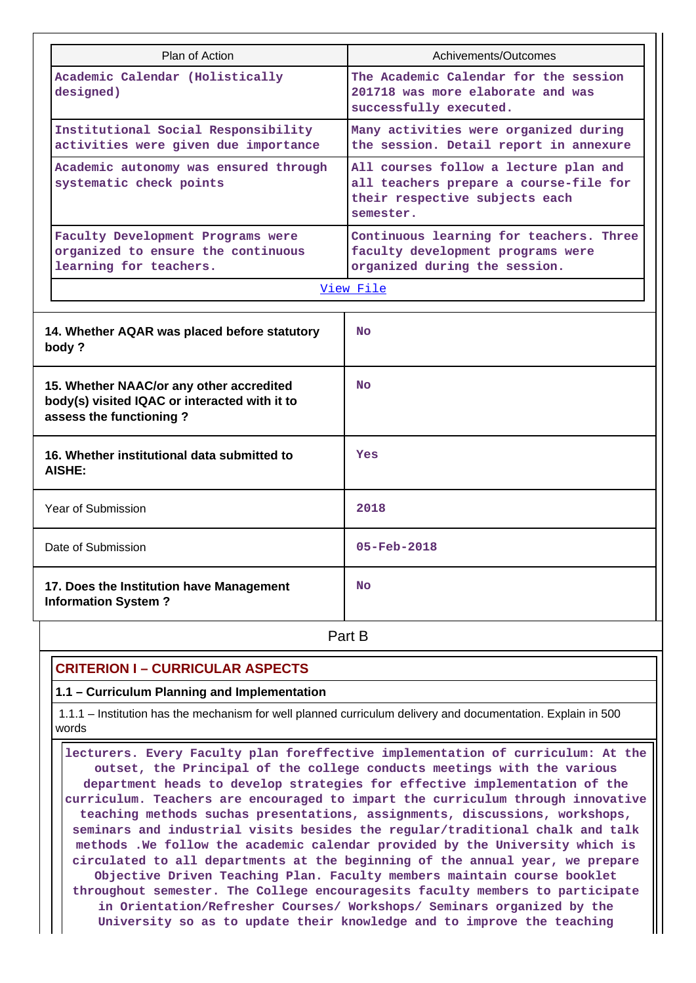| Plan of Action                                                                                                       | Achivements/Outcomes                                                                                                           |  |  |  |  |  |
|----------------------------------------------------------------------------------------------------------------------|--------------------------------------------------------------------------------------------------------------------------------|--|--|--|--|--|
| Academic Calendar (Holistically<br>designed)                                                                         | The Academic Calendar for the session<br>201718 was more elaborate and was<br>successfully executed.                           |  |  |  |  |  |
| Institutional Social Responsibility<br>activities were given due importance                                          | Many activities were organized during<br>the session. Detail report in annexure                                                |  |  |  |  |  |
| Academic autonomy was ensured through<br>systematic check points                                                     | All courses follow a lecture plan and<br>all teachers prepare a course-file for<br>their respective subjects each<br>semester. |  |  |  |  |  |
| Faculty Development Programs were<br>organized to ensure the continuous<br>learning for teachers.                    | Continuous learning for teachers. Three<br>faculty development programs were<br>organized during the session.                  |  |  |  |  |  |
|                                                                                                                      | View File                                                                                                                      |  |  |  |  |  |
| 14. Whether AQAR was placed before statutory<br>body?                                                                | N <sub>O</sub>                                                                                                                 |  |  |  |  |  |
| 15. Whether NAAC/or any other accredited<br>body(s) visited IQAC or interacted with it to<br>assess the functioning? | <b>No</b>                                                                                                                      |  |  |  |  |  |
| 16. Whether institutional data submitted to<br><b>AISHE:</b>                                                         | Yes                                                                                                                            |  |  |  |  |  |
| Year of Submission                                                                                                   | 2018                                                                                                                           |  |  |  |  |  |
| Date of Submission                                                                                                   | $05 - Feb - 2018$                                                                                                              |  |  |  |  |  |
| 17. Does the Institution have Management<br><b>Information System?</b>                                               | N <sub>O</sub>                                                                                                                 |  |  |  |  |  |
|                                                                                                                      | Part B                                                                                                                         |  |  |  |  |  |

## **CRITERION I – CURRICULAR ASPECTS**

**1.1 – Curriculum Planning and Implementation**

 1.1.1 – Institution has the mechanism for well planned curriculum delivery and documentation. Explain in 500 words

 **lecturers. Every Faculty plan foreffective implementation of curriculum: At the outset, the Principal of the college conducts meetings with the various department heads to develop strategies for effective implementation of the curriculum. Teachers are encouraged to impart the curriculum through innovative teaching methods suchas presentations, assignments, discussions, workshops, seminars and industrial visits besides the regular/traditional chalk and talk methods .We follow the academic calendar provided by the University which is circulated to all departments at the beginning of the annual year, we prepare Objective Driven Teaching Plan. Faculty members maintain course booklet throughout semester. The College encouragesits faculty members to participate in Orientation/Refresher Courses/ Workshops/ Seminars organized by the University so as to update their knowledge and to improve the teaching**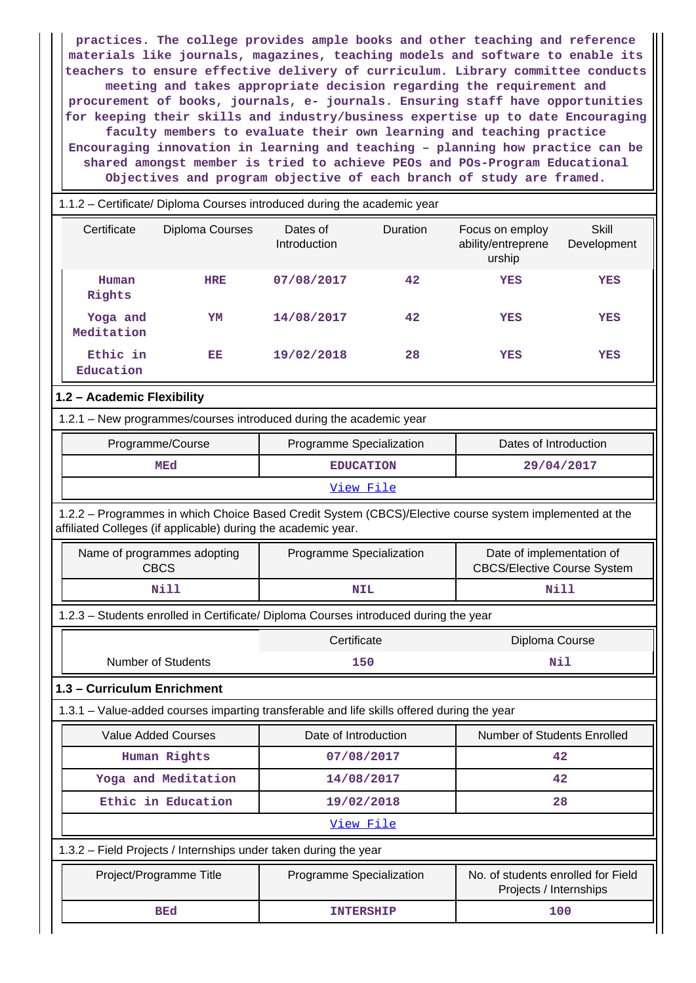**practices. The college provides ample books and other teaching and reference materials like journals, magazines, teaching models and software to enable its teachers to ensure effective delivery of curriculum. Library committee conducts meeting and takes appropriate decision regarding the requirement and procurement of books, journals, e- journals. Ensuring staff have opportunities for keeping their skills and industry/business expertise up to date Encouraging faculty members to evaluate their own learning and teaching practice Encouraging innovation in learning and teaching – planning how practice can be shared amongst member is tried to achieve PEOs and POs-Program Educational Objectives and program objective of each branch of study are framed.**

# 1.1.2 – Certificate/ Diploma Courses introduced during the academic year Certificate Diploma Courses Dates of Introduction Duration Focus on employ ability/entreprene urship Skill Development  **Human Rights HRE 07/08/2017 42 YES YES Yoga and Meditation YM 14/08/2017 42 YES YES Ethic in Education EE 19/02/2018 28 YES YES 1.2 – Academic Flexibility** 1.2.1 – New programmes/courses introduced during the academic year Programme/Course **Programme Specialization** Programme Specialization **Programme** Dates of Introduction MEd **EDUCATION** 29/04/2017 View File 1.2.2 – Programmes in which Choice Based Credit System (CBCS)/Elective course system implemented at the affiliated Colleges (if applicable) during the academic year. Name of programmes adopting CBCS Programme Specialization | Date of implementation of CBCS/Elective Course System  **Nill NIL Nill** 1.2.3 – Students enrolled in Certificate/ Diploma Courses introduced during the year Certificate Diploma Course Number of Students **150** Number of Students **150 1.3 – Curriculum Enrichment** 1.3.1 – Value-added courses imparting transferable and life skills offered during the year Value Added Courses  $\parallel$  Date of Introduction  $\parallel$  Number of Students Enrolled  **Human Rights 07/08/2017 42 Yoga and Meditation 14/08/2017 42 Ethic in Education 19/02/2018 28** View File 1.3.2 – Field Projects / Internships under taken during the year

| Project/Programme Title | Programme Specialization | No. of students enrolled for Field<br>Projects / Internships |
|-------------------------|--------------------------|--------------------------------------------------------------|
| BEd                     | <b>INTERSHIP</b>         | 100                                                          |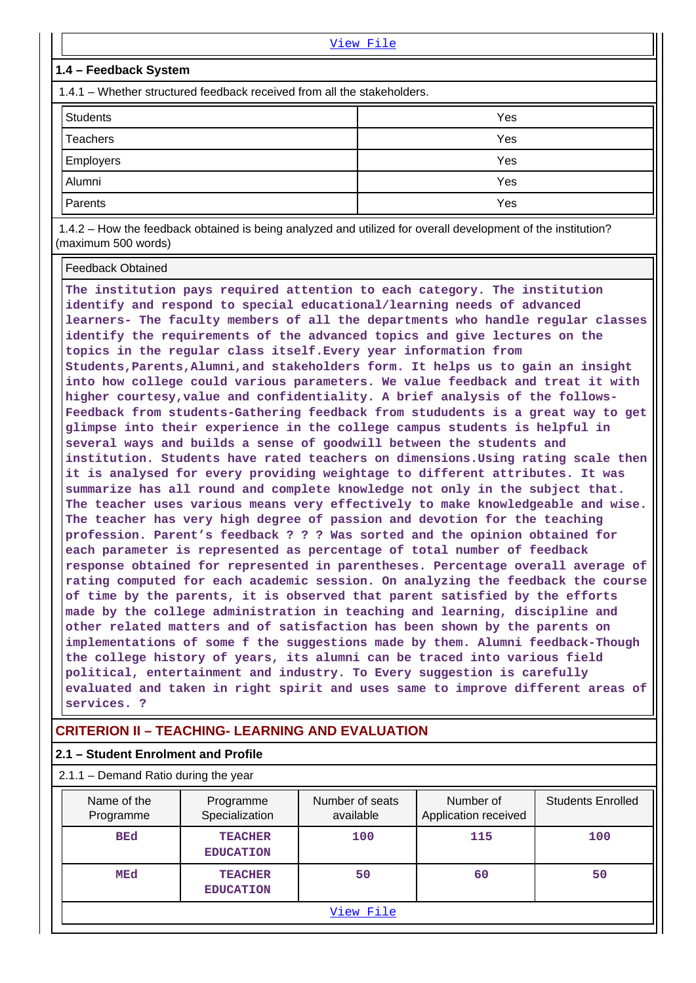|                                                                         | View File |  |  |  |  |  |  |  |
|-------------------------------------------------------------------------|-----------|--|--|--|--|--|--|--|
| 1.4 – Feedback System                                                   |           |  |  |  |  |  |  |  |
| 1.4.1 – Whether structured feedback received from all the stakeholders. |           |  |  |  |  |  |  |  |
| <b>Students</b>                                                         | Yes       |  |  |  |  |  |  |  |
| Teachers                                                                | Yes       |  |  |  |  |  |  |  |
| Employers                                                               | Yes       |  |  |  |  |  |  |  |
| Alumni                                                                  | Yes       |  |  |  |  |  |  |  |
| Parents                                                                 | Yes       |  |  |  |  |  |  |  |

 1.4.2 – How the feedback obtained is being analyzed and utilized for overall development of the institution? (maximum 500 words)

Feedback Obtained

**The institution pays required attention to each category. The institution identify and respond to special educational/learning needs of advanced learners- The faculty members of all the departments who handle regular classes identify the requirements of the advanced topics and give lectures on the topics in the regular class itself.Every year information from Students,Parents,Alumni,and stakeholders form. It helps us to gain an insight into how college could various parameters. We value feedback and treat it with higher courtesy,value and confidentiality. A brief analysis of the follows-Feedback from students-Gathering feedback from stududents is a great way to get glimpse into their experience in the college campus students is helpful in several ways and builds a sense of goodwill between the students and institution. Students have rated teachers on dimensions.Using rating scale then it is analysed for every providing weightage to different attributes. It was summarize has all round and complete knowledge not only in the subject that. The teacher uses various means very effectively to make knowledgeable and wise. The teacher has very high degree of passion and devotion for the teaching profession. Parent's feedback ? ? ? Was sorted and the opinion obtained for each parameter is represented as percentage of total number of feedback response obtained for represented in parentheses. Percentage overall average of rating computed for each academic session. On analyzing the feedback the course of time by the parents, it is observed that parent satisfied by the efforts made by the college administration in teaching and learning, discipline and other related matters and of satisfaction has been shown by the parents on implementations of some f the suggestions made by them. Alumni feedback-Though the college history of years, its alumni can be traced into various field political, entertainment and industry. To Every suggestion is carefully evaluated and taken in right spirit and uses same to improve different areas of services. ?**

# **CRITERION II – TEACHING- LEARNING AND EVALUATION**

#### **2.1 – Student Enrolment and Profile**

 2.1.1 – Demand Ratio during the year Name of the Programme Programme Specialization Number of seats available Number of Application received Students Enrolled  **BEd TEACHER EDUCATION 100 115 100 MEd TEACHER EDUCATION 50 60 50** View File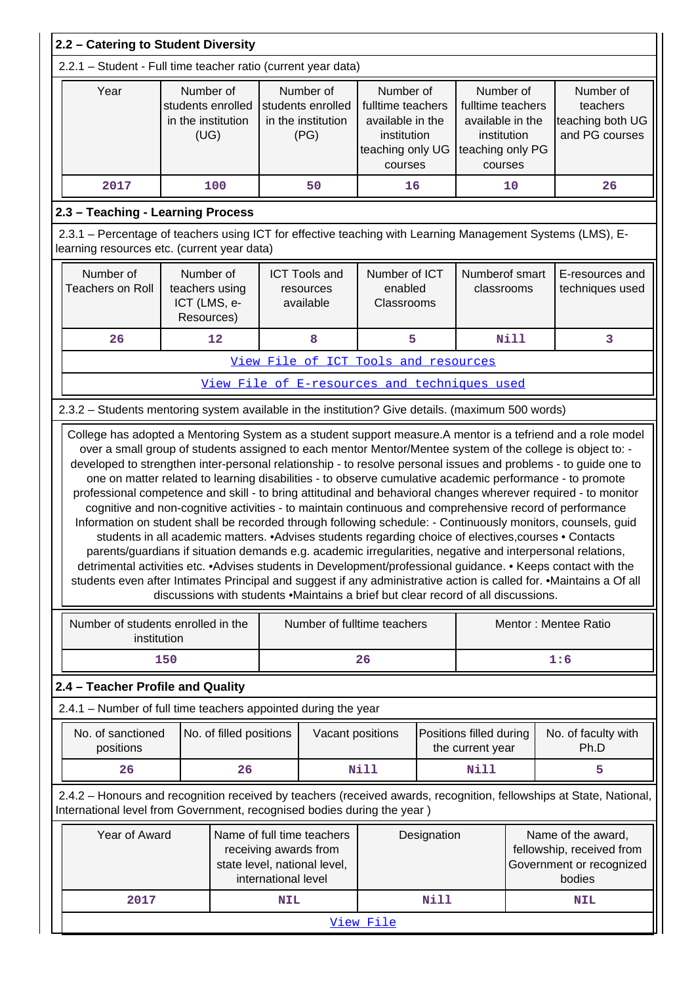| 2.2 - Catering to Student Diversity                                                                                                                       |                                                              |                         |            |                                                                                   |                                                                                                  |      |                                                                                                  |                                                                                       |                                                                                                                                                                                                                                                                                                                                                                                                                                                                                                                                                                                                                                                                                                                                                                                                                                                                                                                                                                                                                                           |
|-----------------------------------------------------------------------------------------------------------------------------------------------------------|--------------------------------------------------------------|-------------------------|------------|-----------------------------------------------------------------------------------|--------------------------------------------------------------------------------------------------|------|--------------------------------------------------------------------------------------------------|---------------------------------------------------------------------------------------|-------------------------------------------------------------------------------------------------------------------------------------------------------------------------------------------------------------------------------------------------------------------------------------------------------------------------------------------------------------------------------------------------------------------------------------------------------------------------------------------------------------------------------------------------------------------------------------------------------------------------------------------------------------------------------------------------------------------------------------------------------------------------------------------------------------------------------------------------------------------------------------------------------------------------------------------------------------------------------------------------------------------------------------------|
| 2.2.1 - Student - Full time teacher ratio (current year data)                                                                                             |                                                              |                         |            |                                                                                   |                                                                                                  |      |                                                                                                  |                                                                                       |                                                                                                                                                                                                                                                                                                                                                                                                                                                                                                                                                                                                                                                                                                                                                                                                                                                                                                                                                                                                                                           |
| Year                                                                                                                                                      | Number of<br>students enrolled<br>in the institution<br>(UG) |                         |            | Number of<br>students enrolled<br>in the institution<br>(PG)                      | Number of<br>fulltime teachers<br>available in the<br>institution<br>teaching only UG<br>courses |      | Number of<br>fulltime teachers<br>available in the<br>institution<br>teaching only PG<br>courses |                                                                                       | Number of<br>teachers<br>teaching both UG<br>and PG courses                                                                                                                                                                                                                                                                                                                                                                                                                                                                                                                                                                                                                                                                                                                                                                                                                                                                                                                                                                               |
| 2017                                                                                                                                                      |                                                              | 100                     |            | 50                                                                                | 16                                                                                               |      |                                                                                                  | 10                                                                                    | 26                                                                                                                                                                                                                                                                                                                                                                                                                                                                                                                                                                                                                                                                                                                                                                                                                                                                                                                                                                                                                                        |
| 2.3 - Teaching - Learning Process                                                                                                                         |                                                              |                         |            |                                                                                   |                                                                                                  |      |                                                                                                  |                                                                                       |                                                                                                                                                                                                                                                                                                                                                                                                                                                                                                                                                                                                                                                                                                                                                                                                                                                                                                                                                                                                                                           |
| 2.3.1 - Percentage of teachers using ICT for effective teaching with Learning Management Systems (LMS), E-<br>learning resources etc. (current year data) |                                                              |                         |            |                                                                                   |                                                                                                  |      |                                                                                                  |                                                                                       |                                                                                                                                                                                                                                                                                                                                                                                                                                                                                                                                                                                                                                                                                                                                                                                                                                                                                                                                                                                                                                           |
| Number of<br><b>Teachers on Roll</b>                                                                                                                      | Number of<br>teachers using<br>ICT (LMS, e-<br>Resources)    |                         |            | <b>ICT Tools and</b><br>resources<br>available                                    | Number of ICT<br>enabled<br>Classrooms                                                           |      | Numberof smart<br>classrooms                                                                     |                                                                                       | E-resources and<br>techniques used                                                                                                                                                                                                                                                                                                                                                                                                                                                                                                                                                                                                                                                                                                                                                                                                                                                                                                                                                                                                        |
| 26                                                                                                                                                        |                                                              | 12                      |            | 8                                                                                 | 5                                                                                                |      |                                                                                                  | Nill                                                                                  | 3                                                                                                                                                                                                                                                                                                                                                                                                                                                                                                                                                                                                                                                                                                                                                                                                                                                                                                                                                                                                                                         |
|                                                                                                                                                           |                                                              |                         |            | View File of ICT Tools and resources                                              |                                                                                                  |      |                                                                                                  |                                                                                       |                                                                                                                                                                                                                                                                                                                                                                                                                                                                                                                                                                                                                                                                                                                                                                                                                                                                                                                                                                                                                                           |
|                                                                                                                                                           |                                                              |                         |            | View File of E-resources and techniques used                                      |                                                                                                  |      |                                                                                                  |                                                                                       |                                                                                                                                                                                                                                                                                                                                                                                                                                                                                                                                                                                                                                                                                                                                                                                                                                                                                                                                                                                                                                           |
| 2.3.2 - Students mentoring system available in the institution? Give details. (maximum 500 words)                                                         |                                                              |                         |            |                                                                                   |                                                                                                  |      |                                                                                                  |                                                                                       |                                                                                                                                                                                                                                                                                                                                                                                                                                                                                                                                                                                                                                                                                                                                                                                                                                                                                                                                                                                                                                           |
|                                                                                                                                                           |                                                              |                         |            | discussions with students .Maintains a brief but clear record of all discussions. |                                                                                                  |      |                                                                                                  |                                                                                       | developed to strengthen inter-personal relationship - to resolve personal issues and problems - to guide one to<br>one on matter related to learning disabilities - to observe cumulative academic performance - to promote<br>professional competence and skill - to bring attitudinal and behavioral changes wherever required - to monitor<br>cognitive and non-cognitive activities - to maintain continuous and comprehensive record of performance<br>Information on student shall be recorded through following schedule: - Continuously monitors, counsels, guid<br>students in all academic matters. • Advises students regarding choice of electives, courses • Contacts<br>parents/guardians if situation demands e.g. academic irregularities, negative and interpersonal relations,<br>detrimental activities etc. • Advises students in Development/professional guidance. • Keeps contact with the<br>students even after Intimates Principal and suggest if any administrative action is called for. • Maintains a Of all |
| Number of students enrolled in the                                                                                                                        | institution                                                  |                         |            | Number of fulltime teachers                                                       |                                                                                                  |      |                                                                                                  |                                                                                       | Mentor: Mentee Ratio                                                                                                                                                                                                                                                                                                                                                                                                                                                                                                                                                                                                                                                                                                                                                                                                                                                                                                                                                                                                                      |
|                                                                                                                                                           | 150                                                          |                         |            |                                                                                   | 26                                                                                               |      |                                                                                                  |                                                                                       | 1:6                                                                                                                                                                                                                                                                                                                                                                                                                                                                                                                                                                                                                                                                                                                                                                                                                                                                                                                                                                                                                                       |
| 2.4 - Teacher Profile and Quality                                                                                                                         |                                                              |                         |            |                                                                                   |                                                                                                  |      |                                                                                                  |                                                                                       |                                                                                                                                                                                                                                                                                                                                                                                                                                                                                                                                                                                                                                                                                                                                                                                                                                                                                                                                                                                                                                           |
| 2.4.1 - Number of full time teachers appointed during the year                                                                                            |                                                              |                         |            |                                                                                   |                                                                                                  |      |                                                                                                  |                                                                                       |                                                                                                                                                                                                                                                                                                                                                                                                                                                                                                                                                                                                                                                                                                                                                                                                                                                                                                                                                                                                                                           |
| No. of sanctioned<br>positions                                                                                                                            |                                                              | No. of filled positions |            | Vacant positions                                                                  |                                                                                                  |      | Positions filled during<br>the current year                                                      |                                                                                       | No. of faculty with<br>Ph.D                                                                                                                                                                                                                                                                                                                                                                                                                                                                                                                                                                                                                                                                                                                                                                                                                                                                                                                                                                                                               |
| 26                                                                                                                                                        |                                                              | 26                      |            |                                                                                   | <b>Nill</b>                                                                                      |      | Nill                                                                                             |                                                                                       | 5                                                                                                                                                                                                                                                                                                                                                                                                                                                                                                                                                                                                                                                                                                                                                                                                                                                                                                                                                                                                                                         |
| International level from Government, recognised bodies during the year)                                                                                   |                                                              |                         |            |                                                                                   |                                                                                                  |      |                                                                                                  |                                                                                       | 2.4.2 - Honours and recognition received by teachers (received awards, recognition, fellowships at State, National,                                                                                                                                                                                                                                                                                                                                                                                                                                                                                                                                                                                                                                                                                                                                                                                                                                                                                                                       |
| Year of Award<br>Name of full time teachers<br>receiving awards from<br>state level, national level,<br>international level                               |                                                              |                         |            |                                                                                   | Designation                                                                                      |      |                                                                                                  | Name of the award,<br>fellowship, received from<br>Government or recognized<br>bodies |                                                                                                                                                                                                                                                                                                                                                                                                                                                                                                                                                                                                                                                                                                                                                                                                                                                                                                                                                                                                                                           |
| 2017                                                                                                                                                      |                                                              |                         | <b>NIL</b> |                                                                                   |                                                                                                  | Nill |                                                                                                  |                                                                                       | <b>NIL</b>                                                                                                                                                                                                                                                                                                                                                                                                                                                                                                                                                                                                                                                                                                                                                                                                                                                                                                                                                                                                                                |
|                                                                                                                                                           | View File                                                    |                         |            |                                                                                   |                                                                                                  |      |                                                                                                  |                                                                                       |                                                                                                                                                                                                                                                                                                                                                                                                                                                                                                                                                                                                                                                                                                                                                                                                                                                                                                                                                                                                                                           |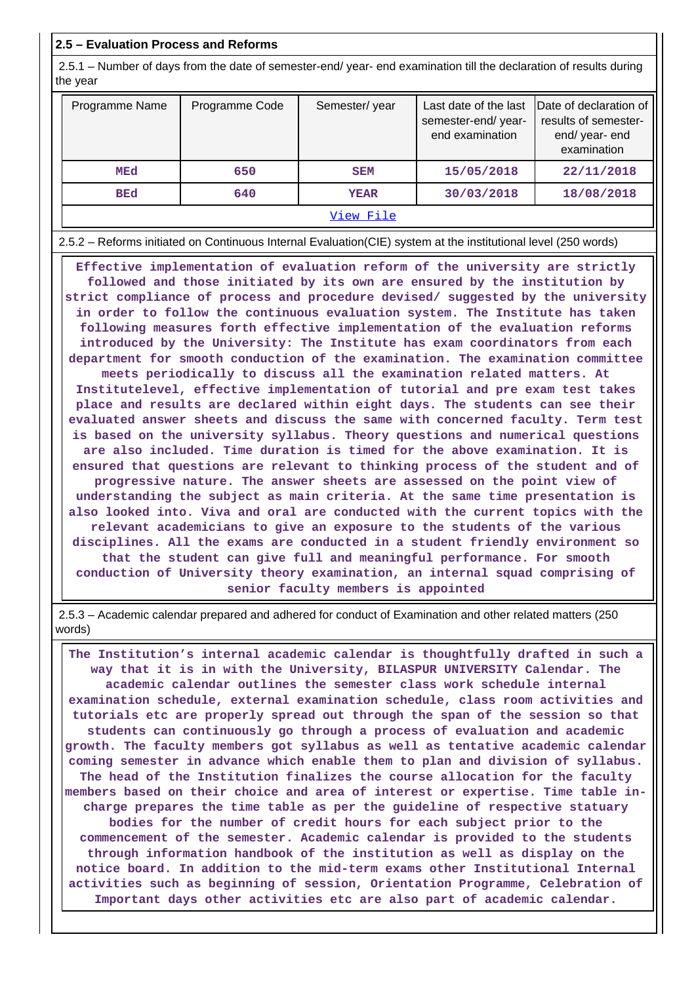#### **2.5 – Evaluation Process and Reforms**

 2.5.1 – Number of days from the date of semester-end/ year- end examination till the declaration of results during the year

| Programme Name | Programme Code | Semester/year | Last date of the last<br>semester-end/year-<br>end examination | Date of declaration of<br>results of semester-<br>end/year-end<br>examination |
|----------------|----------------|---------------|----------------------------------------------------------------|-------------------------------------------------------------------------------|
| MEd            | 650            | <b>SEM</b>    | 15/05/2018                                                     | 22/11/2018                                                                    |
| <b>BEd</b>     | 640            | <b>YEAR</b>   | 30/03/2018                                                     | 18/08/2018                                                                    |
|                |                | View File     |                                                                |                                                                               |

2.5.2 – Reforms initiated on Continuous Internal Evaluation(CIE) system at the institutional level (250 words)

 **Effective implementation of evaluation reform of the university are strictly followed and those initiated by its own are ensured by the institution by strict compliance of process and procedure devised/ suggested by the university in order to follow the continuous evaluation system. The Institute has taken following measures forth effective implementation of the evaluation reforms introduced by the University: The Institute has exam coordinators from each department for smooth conduction of the examination. The examination committee meets periodically to discuss all the examination related matters. At Institutelevel, effective implementation of tutorial and pre exam test takes place and results are declared within eight days. The students can see their evaluated answer sheets and discuss the same with concerned faculty. Term test is based on the university syllabus. Theory questions and numerical questions are also included. Time duration is timed for the above examination. It is ensured that questions are relevant to thinking process of the student and of progressive nature. The answer sheets are assessed on the point view of understanding the subject as main criteria. At the same time presentation is also looked into. Viva and oral are conducted with the current topics with the relevant academicians to give an exposure to the students of the various disciplines. All the exams are conducted in a student friendly environment so that the student can give full and meaningful performance. For smooth conduction of University theory examination, an internal squad comprising of senior faculty members is appointed**

 2.5.3 – Academic calendar prepared and adhered for conduct of Examination and other related matters (250 words)

 **The Institution's internal academic calendar is thoughtfully drafted in such a way that it is in with the University, BILASPUR UNIVERSITY Calendar. The academic calendar outlines the semester class work schedule internal examination schedule, external examination schedule, class room activities and tutorials etc are properly spread out through the span of the session so that students can continuously go through a process of evaluation and academic growth. The faculty members got syllabus as well as tentative academic calendar coming semester in advance which enable them to plan and division of syllabus. The head of the Institution finalizes the course allocation for the faculty members based on their choice and area of interest or expertise. Time table incharge prepares the time table as per the guideline of respective statuary bodies for the number of credit hours for each subject prior to the commencement of the semester. Academic calendar is provided to the students through information handbook of the institution as well as display on the notice board. In addition to the mid-term exams other Institutional Internal activities such as beginning of session, Orientation Programme, Celebration of Important days other activities etc are also part of academic calendar.**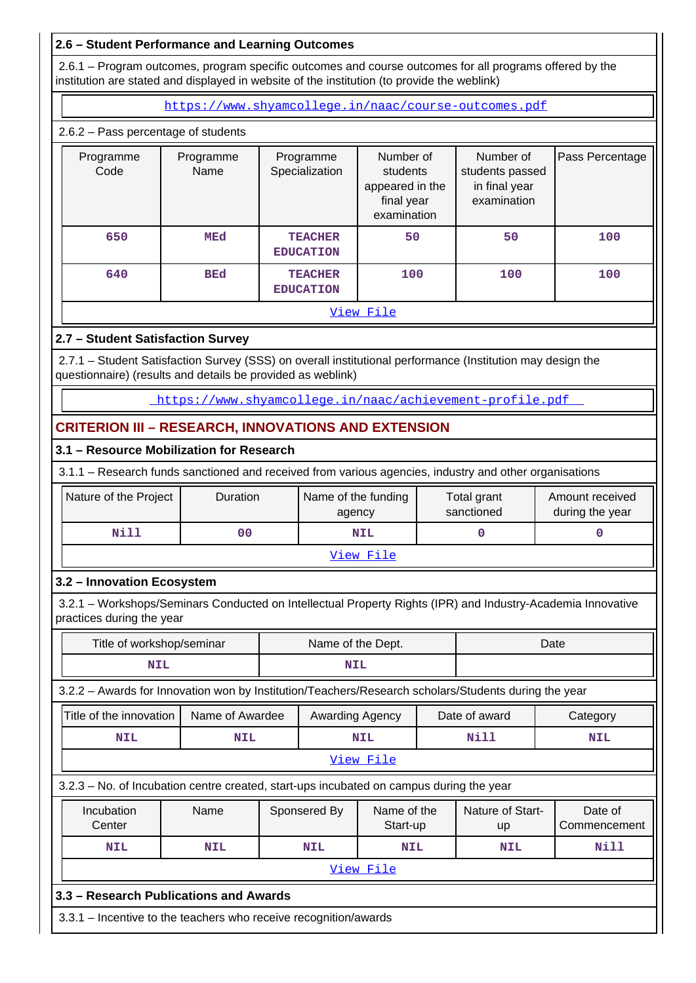## **2.6 – Student Performance and Learning Outcomes**

 2.6.1 – Program outcomes, program specific outcomes and course outcomes for all programs offered by the institution are stated and displayed in website of the institution (to provide the weblink)

https://www.shyamcollege.in/naac/course-outcomes.pdf

#### 2.6.2 – Pass percentage of students

| Programme<br>Code | Programme<br>Name | Programme<br>Specialization        | Number of<br>students<br>appeared in the<br>final year<br>examination | Number of<br>students passed<br>in final year<br>examination | Pass Percentage |
|-------------------|-------------------|------------------------------------|-----------------------------------------------------------------------|--------------------------------------------------------------|-----------------|
| 650               | MEd               | <b>TEACHER</b><br><b>EDUCATION</b> | 50                                                                    | 50                                                           | 100             |
| 640               | <b>BEd</b>        | <b>TEACHER</b><br><b>EDUCATION</b> | 100                                                                   | 100                                                          | 100             |
|                   |                   |                                    | View File                                                             |                                                              |                 |

## **2.7 – Student Satisfaction Survey**

 2.7.1 – Student Satisfaction Survey (SSS) on overall institutional performance (Institution may design the questionnaire) (results and details be provided as weblink)

https://www.shyamcollege.in/naac/achievement-profile.pdf

# **CRITERION III – RESEARCH, INNOVATIONS AND EXTENSION**

#### **3.1 – Resource Mobilization for Research**

3.1.1 – Research funds sanctioned and received from various agencies, industry and other organisations

| Nature of the Project | <b>Duration</b> | Name of the funding<br>agency | Total grant<br>sanctioned | Amount received<br>during the year |
|-----------------------|-----------------|-------------------------------|---------------------------|------------------------------------|
| Nill                  | 00              | <b>NIL</b>                    |                           |                                    |
|                       |                 | View File                     |                           |                                    |

## **3.2 – Innovation Ecosystem**

 3.2.1 – Workshops/Seminars Conducted on Intellectual Property Rights (IPR) and Industry-Academia Innovative practices during the year

|                                                                                                      | Title of workshop/seminar |  | Name of the Dept.                       |                  |  | Date                   |                         |  |
|------------------------------------------------------------------------------------------------------|---------------------------|--|-----------------------------------------|------------------|--|------------------------|-------------------------|--|
| NIL                                                                                                  |                           |  | <b>NIL</b>                              |                  |  |                        |                         |  |
| 3.2.2 - Awards for Innovation won by Institution/Teachers/Research scholars/Students during the year |                           |  |                                         |                  |  |                        |                         |  |
| Title of the innovation                                                                              | Name of Awardee           |  | Awarding Agency                         |                  |  | Date of award          | Category                |  |
| <b>NIL</b>                                                                                           | <b>NIL</b>                |  |                                         | <b>NIL</b>       |  | <b>Nill</b>            | <b>NIL</b>              |  |
|                                                                                                      |                           |  |                                         | <u>View File</u> |  |                        |                         |  |
| 3.2.3 – No. of Incubation centre created, start-ups incubated on campus during the year              |                           |  |                                         |                  |  |                        |                         |  |
| Incubation<br>Center                                                                                 | Name                      |  | Sponsered By<br>Name of the<br>Start-up |                  |  | Nature of Start-<br>up | Date of<br>Commencement |  |
| <b>NIL</b>                                                                                           | <b>NIL</b>                |  | <b>NIL</b>                              | <b>NIL</b>       |  | <b>NIL</b>             | Nill                    |  |
|                                                                                                      |                           |  |                                         | <u>View File</u> |  |                        |                         |  |
| 3.3 – Research Publications and Awards                                                               |                           |  |                                         |                  |  |                        |                         |  |
| 3.3.1 – Incentive to the teachers who receive recognition/awards                                     |                           |  |                                         |                  |  |                        |                         |  |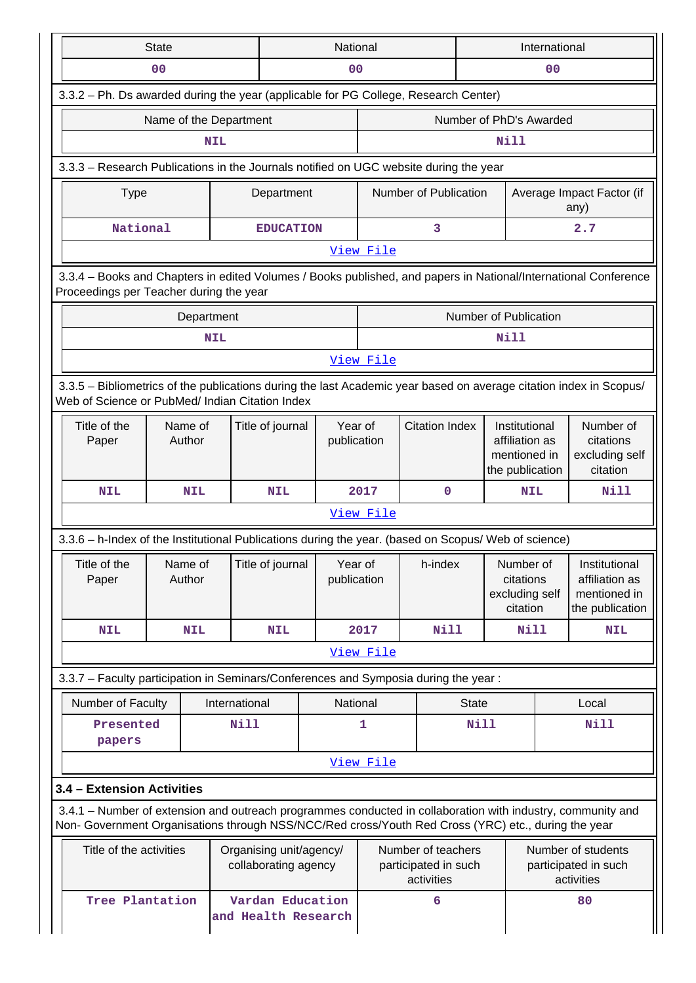| <b>State</b>                                                                                                                                                                                                       |                                                                                                                                                            |               | National                                |                                                 |                     | International                                            |              |                                                                    |                                                          |                                                                    |
|--------------------------------------------------------------------------------------------------------------------------------------------------------------------------------------------------------------------|------------------------------------------------------------------------------------------------------------------------------------------------------------|---------------|-----------------------------------------|-------------------------------------------------|---------------------|----------------------------------------------------------|--------------|--------------------------------------------------------------------|----------------------------------------------------------|--------------------------------------------------------------------|
|                                                                                                                                                                                                                    | 0 <sub>0</sub>                                                                                                                                             |               |                                         | 0 <sub>0</sub>                                  |                     |                                                          |              |                                                                    | 0 <sub>0</sub>                                           |                                                                    |
| 3.3.2 - Ph. Ds awarded during the year (applicable for PG College, Research Center)                                                                                                                                |                                                                                                                                                            |               |                                         |                                                 |                     |                                                          |              |                                                                    |                                                          |                                                                    |
|                                                                                                                                                                                                                    | Name of the Department                                                                                                                                     |               |                                         |                                                 |                     |                                                          |              | Number of PhD's Awarded                                            |                                                          |                                                                    |
| Nill<br><b>NIL</b>                                                                                                                                                                                                 |                                                                                                                                                            |               |                                         |                                                 |                     |                                                          |              |                                                                    |                                                          |                                                                    |
|                                                                                                                                                                                                                    | 3.3.3 - Research Publications in the Journals notified on UGC website during the year                                                                      |               |                                         |                                                 |                     |                                                          |              |                                                                    |                                                          |                                                                    |
| <b>Type</b>                                                                                                                                                                                                        |                                                                                                                                                            |               | Department                              |                                                 |                     | Number of Publication                                    |              |                                                                    |                                                          | Average Impact Factor (if<br>any)                                  |
| National                                                                                                                                                                                                           |                                                                                                                                                            |               | <b>EDUCATION</b>                        |                                                 |                     | 3                                                        |              |                                                                    |                                                          | 2.7                                                                |
|                                                                                                                                                                                                                    |                                                                                                                                                            |               |                                         |                                                 | View File           |                                                          |              |                                                                    |                                                          |                                                                    |
|                                                                                                                                                                                                                    | 3.3.4 - Books and Chapters in edited Volumes / Books published, and papers in National/International Conference<br>Proceedings per Teacher during the year |               |                                         |                                                 |                     |                                                          |              |                                                                    |                                                          |                                                                    |
|                                                                                                                                                                                                                    |                                                                                                                                                            | Department    |                                         |                                                 |                     |                                                          |              | Number of Publication                                              |                                                          |                                                                    |
|                                                                                                                                                                                                                    |                                                                                                                                                            | <b>NIL</b>    |                                         |                                                 |                     |                                                          |              | Nill                                                               |                                                          |                                                                    |
|                                                                                                                                                                                                                    |                                                                                                                                                            |               |                                         |                                                 | View File           |                                                          |              |                                                                    |                                                          |                                                                    |
| 3.3.5 - Bibliometrics of the publications during the last Academic year based on average citation index in Scopus/<br>Web of Science or PubMed/ Indian Citation Index                                              |                                                                                                                                                            |               |                                         |                                                 |                     |                                                          |              |                                                                    |                                                          |                                                                    |
| Title of the<br>Paper                                                                                                                                                                                              | Name of<br>Author                                                                                                                                          |               | Title of journal                        | Year of<br>publication                          |                     | <b>Citation Index</b>                                    |              | Institutional<br>affiliation as<br>mentioned in<br>the publication |                                                          | Number of<br>citations<br>excluding self<br>citation               |
| <b>NIL</b>                                                                                                                                                                                                         | <b>NIL</b>                                                                                                                                                 |               | <b>NIL</b>                              |                                                 | 2017                | $\mathbf 0$                                              |              | <b>NIL</b>                                                         |                                                          | Nill                                                               |
|                                                                                                                                                                                                                    |                                                                                                                                                            |               |                                         |                                                 | View File           |                                                          |              |                                                                    |                                                          |                                                                    |
| 3.3.6 - h-Index of the Institutional Publications during the year. (based on Scopus/ Web of science)                                                                                                               |                                                                                                                                                            |               |                                         |                                                 |                     |                                                          |              |                                                                    |                                                          |                                                                    |
| Title of the<br>Paper                                                                                                                                                                                              | Name of<br>Author                                                                                                                                          |               | Title of journal                        | Year of<br>publication                          |                     | h-index                                                  |              | Number of<br>citations<br>excluding self<br>citation               |                                                          | Institutional<br>affiliation as<br>mentioned in<br>the publication |
| <b>NIL</b>                                                                                                                                                                                                         | <b>NIL</b>                                                                                                                                                 |               | <b>NIL</b>                              |                                                 | <b>Nill</b><br>2017 |                                                          |              | Nill                                                               |                                                          | <b>NIL</b>                                                         |
|                                                                                                                                                                                                                    |                                                                                                                                                            |               |                                         |                                                 | View File           |                                                          |              |                                                                    |                                                          |                                                                    |
| 3.3.7 - Faculty participation in Seminars/Conferences and Symposia during the year:                                                                                                                                |                                                                                                                                                            |               |                                         |                                                 |                     |                                                          |              |                                                                    |                                                          |                                                                    |
| Number of Faculty                                                                                                                                                                                                  |                                                                                                                                                            | International |                                         | National                                        |                     |                                                          | <b>State</b> |                                                                    |                                                          | Local                                                              |
| Presented<br>papers                                                                                                                                                                                                |                                                                                                                                                            | Nill          |                                         |                                                 | 1                   |                                                          | <b>Nill</b>  |                                                                    |                                                          | Nill                                                               |
|                                                                                                                                                                                                                    |                                                                                                                                                            |               |                                         |                                                 | View File           |                                                          |              |                                                                    |                                                          |                                                                    |
| 3.4 - Extension Activities                                                                                                                                                                                         |                                                                                                                                                            |               |                                         |                                                 |                     |                                                          |              |                                                                    |                                                          |                                                                    |
| 3.4.1 – Number of extension and outreach programmes conducted in collaboration with industry, community and<br>Non- Government Organisations through NSS/NCC/Red cross/Youth Red Cross (YRC) etc., during the year |                                                                                                                                                            |               |                                         |                                                 |                     |                                                          |              |                                                                    |                                                          |                                                                    |
| Title of the activities                                                                                                                                                                                            |                                                                                                                                                            |               |                                         | Organising unit/agency/<br>collaborating agency |                     | Number of teachers<br>participated in such<br>activities |              |                                                                    | Number of students<br>participated in such<br>activities |                                                                    |
| Tree Plantation                                                                                                                                                                                                    |                                                                                                                                                            |               | Vardan Education<br>and Health Research |                                                 |                     | 6                                                        |              |                                                                    |                                                          | 80                                                                 |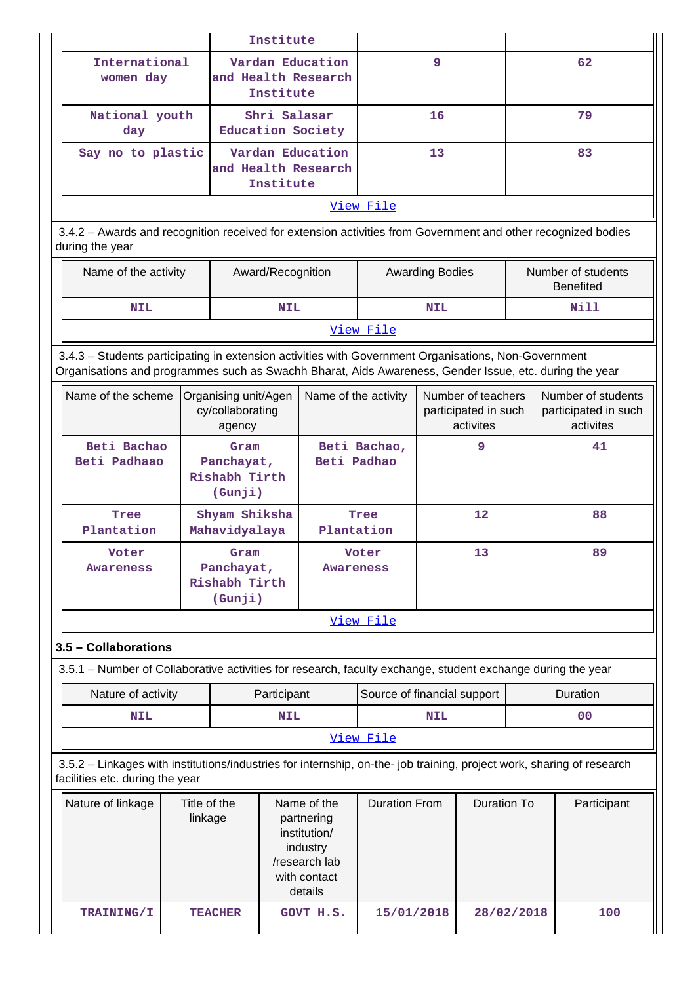|                                                                                                                                                                                                                |                         |                                                                                   | Institute                         |                                                                                        |                             |                                                         |                    |  |                                                         |
|----------------------------------------------------------------------------------------------------------------------------------------------------------------------------------------------------------------|-------------------------|-----------------------------------------------------------------------------------|-----------------------------------|----------------------------------------------------------------------------------------|-----------------------------|---------------------------------------------------------|--------------------|--|---------------------------------------------------------|
| International<br>women day                                                                                                                                                                                     |                         |                                                                                   | Institute                         | Vardan Education<br>and Health Research                                                |                             | 9                                                       |                    |  | 62                                                      |
| day                                                                                                                                                                                                            | National youth          |                                                                                   | Shri Salasar<br>Education Society |                                                                                        | 16                          |                                                         | 79                 |  |                                                         |
| Say no to plastic                                                                                                                                                                                              |                         |                                                                                   | Institute                         | Vardan Education<br>and Health Research                                                |                             | 13                                                      |                    |  | 83                                                      |
|                                                                                                                                                                                                                |                         |                                                                                   |                                   |                                                                                        | View File                   |                                                         |                    |  |                                                         |
| 3.4.2 - Awards and recognition received for extension activities from Government and other recognized bodies<br>during the year                                                                                |                         |                                                                                   |                                   |                                                                                        |                             |                                                         |                    |  |                                                         |
| Name of the activity                                                                                                                                                                                           |                         |                                                                                   | Award/Recognition                 |                                                                                        |                             | <b>Awarding Bodies</b>                                  |                    |  | Number of students<br><b>Benefited</b>                  |
| <b>NIL</b>                                                                                                                                                                                                     |                         |                                                                                   | <b>NIL</b>                        |                                                                                        |                             | <b>NIL</b>                                              |                    |  | Nill                                                    |
|                                                                                                                                                                                                                |                         |                                                                                   |                                   |                                                                                        | View File                   |                                                         |                    |  |                                                         |
| 3.4.3 - Students participating in extension activities with Government Organisations, Non-Government<br>Organisations and programmes such as Swachh Bharat, Aids Awareness, Gender Issue, etc. during the year |                         |                                                                                   |                                   |                                                                                        |                             |                                                         |                    |  |                                                         |
| Name of the scheme                                                                                                                                                                                             |                         | Organising unit/Agen<br>cy/collaborating<br>agency                                |                                   | Name of the activity                                                                   |                             | Number of teachers<br>participated in such<br>activites |                    |  | Number of students<br>participated in such<br>activites |
| Beti Bachao<br>Beti Padhaao                                                                                                                                                                                    |                         | Gram<br>Panchayat,<br>Rishabh Tirth<br>(Gunji)                                    |                                   | Beti Padhao                                                                            | Beti Bachao,                |                                                         | 9                  |  | 41                                                      |
| Tree<br>Plantation                                                                                                                                                                                             |                         | Shyam Shiksha<br>Mahavidyalaya                                                    |                                   | Plantation                                                                             | Tree                        |                                                         | $12 \overline{ }$  |  | 88                                                      |
| Voter<br>Awareness                                                                                                                                                                                             |                         | 13<br>Gram<br>Voter<br>Panchayat,<br><b>Awareness</b><br>Rishabh Tirth<br>(Gunji) |                                   |                                                                                        | 89                          |                                                         |                    |  |                                                         |
|                                                                                                                                                                                                                |                         |                                                                                   |                                   |                                                                                        | View File                   |                                                         |                    |  |                                                         |
| 3.5 - Collaborations                                                                                                                                                                                           |                         |                                                                                   |                                   |                                                                                        |                             |                                                         |                    |  |                                                         |
| 3.5.1 - Number of Collaborative activities for research, faculty exchange, student exchange during the year                                                                                                    |                         |                                                                                   |                                   |                                                                                        |                             |                                                         |                    |  |                                                         |
| Nature of activity                                                                                                                                                                                             |                         |                                                                                   | Participant                       |                                                                                        | Source of financial support |                                                         |                    |  | Duration                                                |
| <b>NIL</b>                                                                                                                                                                                                     |                         |                                                                                   | <b>NIL</b>                        |                                                                                        |                             | <b>NIL</b>                                              |                    |  | 00                                                      |
|                                                                                                                                                                                                                |                         |                                                                                   |                                   |                                                                                        | View File                   |                                                         |                    |  |                                                         |
| 3.5.2 - Linkages with institutions/industries for internship, on-the- job training, project work, sharing of research<br>facilities etc. during the year                                                       |                         |                                                                                   |                                   |                                                                                        |                             |                                                         |                    |  |                                                         |
| Nature of linkage                                                                                                                                                                                              | Title of the<br>linkage |                                                                                   |                                   | Name of the<br>partnering<br>institution/<br>industry<br>/research lab<br>with contact | <b>Duration From</b>        |                                                         | <b>Duration To</b> |  | Participant                                             |

details

 **TRAINING/I TEACHER GOVT H.S. 15/01/2018 28/02/2018 100**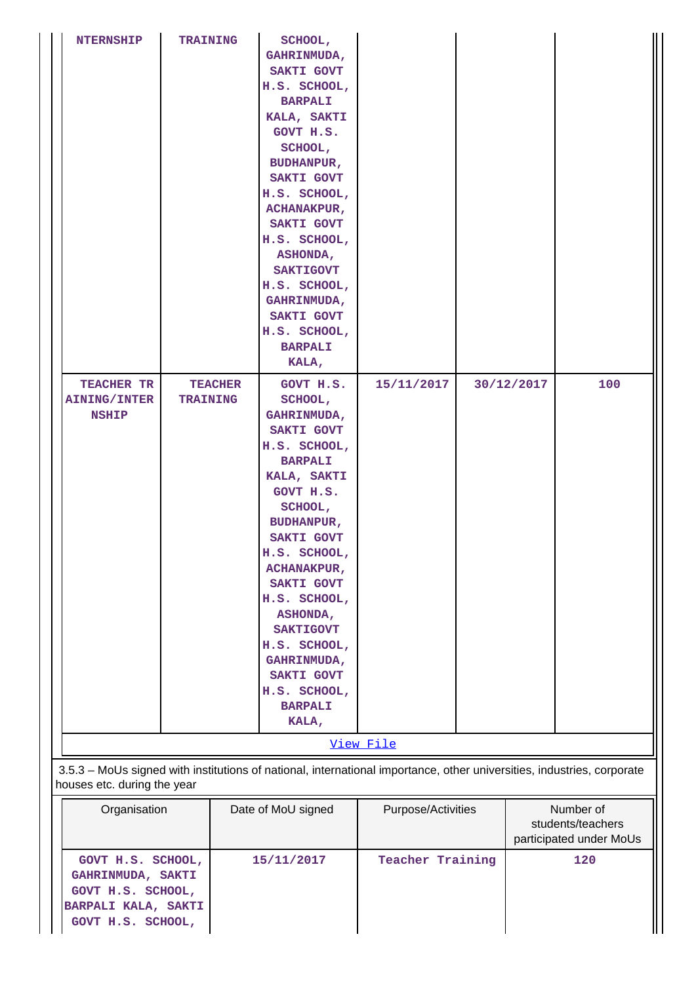| <b>NTERNSHIP</b>                                                                                                                                      | <b>TRAINING</b> |                | SCHOOL,<br>GAHRINMUDA,<br>SAKTI GOVT<br>H.S. SCHOOL,<br><b>BARPALI</b><br>KALA, SAKTI<br>GOVT H.S.<br>SCHOOL,<br><b>BUDHANPUR,</b><br>SAKTI GOVT<br>H.S. SCHOOL,<br><b>ACHANAKPUR,</b><br>SAKTI GOVT<br>H.S. SCHOOL,<br>ASHONDA,<br><b>SAKTIGOVT</b><br>H.S. SCHOOL,<br>GAHRINMUDA,<br>SAKTI GOVT<br>H.S. SCHOOL,<br><b>BARPALI</b><br>KALA,                            |                         |            |                                                           |
|-------------------------------------------------------------------------------------------------------------------------------------------------------|-----------------|----------------|-------------------------------------------------------------------------------------------------------------------------------------------------------------------------------------------------------------------------------------------------------------------------------------------------------------------------------------------------------------------------|-------------------------|------------|-----------------------------------------------------------|
| TEACHER TR<br><b>AINING/INTER</b><br><b>NSHIP</b>                                                                                                     | <b>TRAINING</b> | <b>TEACHER</b> | GOVT H.S.<br>SCHOOL,<br><b>GAHRINMUDA,</b><br>SAKTI GOVT<br>H.S. SCHOOL,<br><b>BARPALI</b><br>KALA, SAKTI<br>GOVT H.S.<br>SCHOOL,<br><b>BUDHANPUR,</b><br>SAKTI GOVT<br>H.S. SCHOOL,<br><b>ACHANAKPUR,</b><br>SAKTI GOVT<br>H.S. SCHOOL,<br><b>ASHONDA,</b><br><b>SAKTIGOVT</b><br>H.S. SCHOOL,<br>GAHRINMUDA,<br>SAKTI GOVT<br>H.S. SCHOOL,<br><b>BARPALI</b><br>KALA, | 15/11/2017              | 30/12/2017 | 100                                                       |
|                                                                                                                                                       |                 |                |                                                                                                                                                                                                                                                                                                                                                                         | View File               |            |                                                           |
| 3.5.3 - MoUs signed with institutions of national, international importance, other universities, industries, corporate<br>houses etc. during the year |                 |                |                                                                                                                                                                                                                                                                                                                                                                         |                         |            |                                                           |
| Organisation                                                                                                                                          |                 |                | Date of MoU signed                                                                                                                                                                                                                                                                                                                                                      | Purpose/Activities      |            | Number of<br>students/teachers<br>participated under MoUs |
| GOVT H.S. SCHOOL,<br>GAHRINMUDA, SAKTI                                                                                                                |                 |                | 15/11/2017                                                                                                                                                                                                                                                                                                                                                              | <b>Teacher Training</b> | 120        |                                                           |

**GOVT H.S. SCHOOL, BARPALI KALA, SAKTI GOVT H.S. SCHOOL,**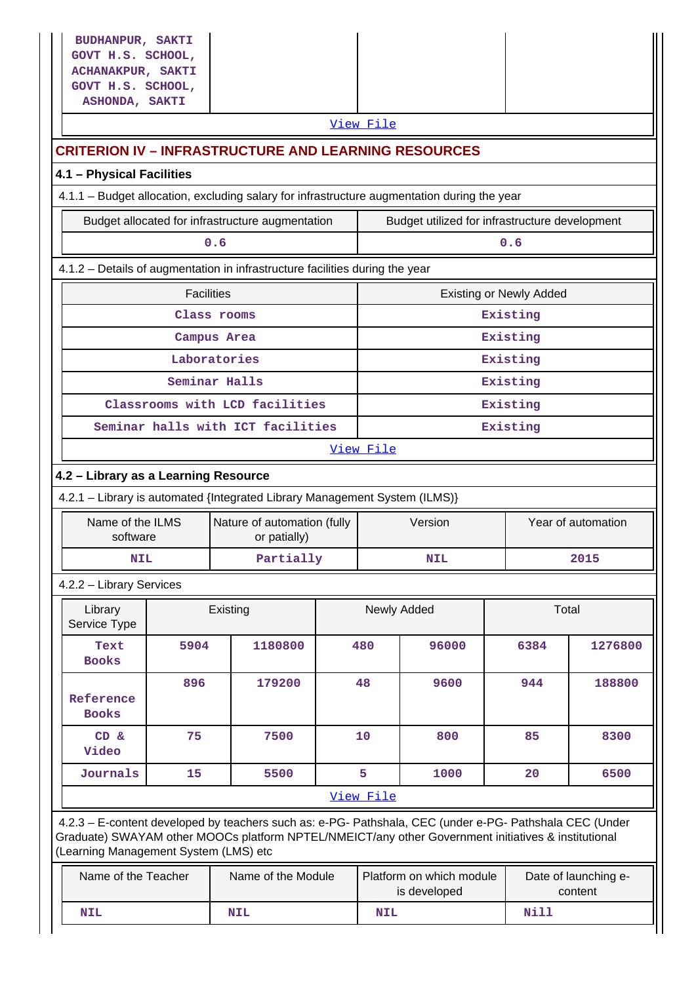| <b>BUDHANPUR, SAKTI</b><br>GOVT H.S. SCHOOL,<br><b>ACHANAKPUR, SAKTI</b><br>GOVT H.S. SCHOOL,<br>ASHONDA, SAKTI |                                                                                                                                                                                                                                                         |                                                                              |  |             |                                                |                                |                                 |  |  |
|-----------------------------------------------------------------------------------------------------------------|---------------------------------------------------------------------------------------------------------------------------------------------------------------------------------------------------------------------------------------------------------|------------------------------------------------------------------------------|--|-------------|------------------------------------------------|--------------------------------|---------------------------------|--|--|
|                                                                                                                 |                                                                                                                                                                                                                                                         |                                                                              |  | View File   |                                                |                                |                                 |  |  |
|                                                                                                                 |                                                                                                                                                                                                                                                         | <b>CRITERION IV – INFRASTRUCTURE AND LEARNING RESOURCES</b>                  |  |             |                                                |                                |                                 |  |  |
| 4.1 - Physical Facilities                                                                                       |                                                                                                                                                                                                                                                         |                                                                              |  |             |                                                |                                |                                 |  |  |
|                                                                                                                 | 4.1.1 - Budget allocation, excluding salary for infrastructure augmentation during the year                                                                                                                                                             |                                                                              |  |             |                                                |                                |                                 |  |  |
|                                                                                                                 |                                                                                                                                                                                                                                                         | Budget allocated for infrastructure augmentation                             |  |             | Budget utilized for infrastructure development |                                |                                 |  |  |
|                                                                                                                 | 0.6                                                                                                                                                                                                                                                     |                                                                              |  |             |                                                | 0.6                            |                                 |  |  |
|                                                                                                                 |                                                                                                                                                                                                                                                         | 4.1.2 - Details of augmentation in infrastructure facilities during the year |  |             |                                                |                                |                                 |  |  |
|                                                                                                                 | <b>Facilities</b>                                                                                                                                                                                                                                       |                                                                              |  |             |                                                | <b>Existing or Newly Added</b> |                                 |  |  |
|                                                                                                                 |                                                                                                                                                                                                                                                         | Class rooms                                                                  |  |             |                                                | Existing                       |                                 |  |  |
|                                                                                                                 |                                                                                                                                                                                                                                                         | Campus Area                                                                  |  |             |                                                | Existing                       |                                 |  |  |
|                                                                                                                 |                                                                                                                                                                                                                                                         | Laboratories                                                                 |  |             |                                                | Existing                       |                                 |  |  |
|                                                                                                                 |                                                                                                                                                                                                                                                         | Seminar Halls                                                                |  |             |                                                | Existing                       |                                 |  |  |
|                                                                                                                 |                                                                                                                                                                                                                                                         | Classrooms with LCD facilities                                               |  |             |                                                | Existing                       |                                 |  |  |
|                                                                                                                 |                                                                                                                                                                                                                                                         | Seminar halls with ICT facilities                                            |  | Existing    |                                                |                                |                                 |  |  |
|                                                                                                                 |                                                                                                                                                                                                                                                         |                                                                              |  | View File   |                                                |                                |                                 |  |  |
| 4.2 - Library as a Learning Resource                                                                            |                                                                                                                                                                                                                                                         |                                                                              |  |             |                                                |                                |                                 |  |  |
|                                                                                                                 |                                                                                                                                                                                                                                                         | 4.2.1 - Library is automated {Integrated Library Management System (ILMS)}   |  |             |                                                |                                |                                 |  |  |
| Name of the ILMS<br>software                                                                                    |                                                                                                                                                                                                                                                         | Nature of automation (fully<br>or patially)                                  |  |             | Version                                        |                                | Year of automation              |  |  |
| <b>NIL</b>                                                                                                      |                                                                                                                                                                                                                                                         | Partially                                                                    |  | NIL         |                                                |                                | 2015                            |  |  |
| 4.2.2 - Library Services                                                                                        |                                                                                                                                                                                                                                                         |                                                                              |  |             |                                                |                                |                                 |  |  |
| Library<br>Service Type                                                                                         |                                                                                                                                                                                                                                                         | Existing                                                                     |  | Newly Added |                                                |                                | Total                           |  |  |
| Text<br><b>Books</b>                                                                                            | 5904                                                                                                                                                                                                                                                    | 1180800                                                                      |  | 480         | 96000                                          | 6384                           | 1276800                         |  |  |
| Reference<br><b>Books</b>                                                                                       | 896                                                                                                                                                                                                                                                     | 179200                                                                       |  | 48          | 9600                                           | 944                            | 188800                          |  |  |
| CD &<br>Video                                                                                                   | 75                                                                                                                                                                                                                                                      | 7500                                                                         |  | 10          | 800                                            | 85                             | 8300                            |  |  |
| Journals                                                                                                        | 5<br>15<br>5500<br>1000<br>20<br>6500                                                                                                                                                                                                                   |                                                                              |  |             |                                                |                                |                                 |  |  |
|                                                                                                                 | View File                                                                                                                                                                                                                                               |                                                                              |  |             |                                                |                                |                                 |  |  |
|                                                                                                                 | 4.2.3 - E-content developed by teachers such as: e-PG- Pathshala, CEC (under e-PG- Pathshala CEC (Under<br>Graduate) SWAYAM other MOOCs platform NPTEL/NMEICT/any other Government initiatives & institutional<br>(Learning Management System (LMS) etc |                                                                              |  |             |                                                |                                |                                 |  |  |
| Name of the Teacher                                                                                             |                                                                                                                                                                                                                                                         | Name of the Module                                                           |  |             | Platform on which module<br>is developed       |                                | Date of launching e-<br>content |  |  |
| <b>NIL</b>                                                                                                      |                                                                                                                                                                                                                                                         | <b>NIL</b>                                                                   |  | <b>NIL</b>  |                                                | <b>Nill</b>                    |                                 |  |  |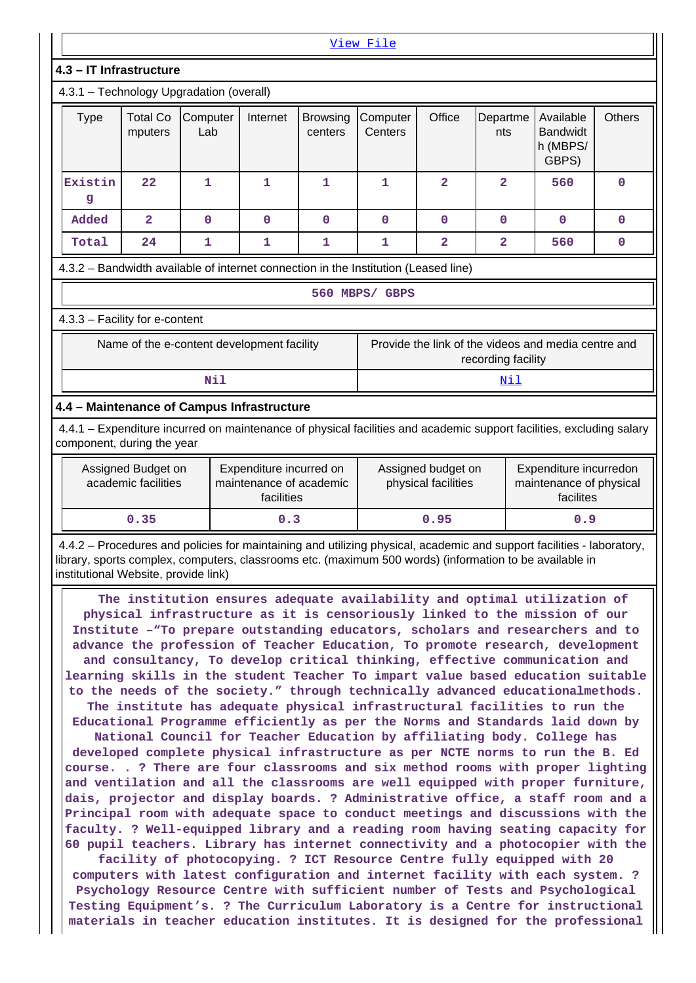|                                                                                                                                                                                                                                                                          |                                           |                                            |                                                                  |                            | View File                                                                       |                                           |                         |                                                                                                                                                                                                                                                                                                                                                                                                                                                                                                                                                                                                                                                                                                                                                                                                                                                                                                                                                                                          |        |
|--------------------------------------------------------------------------------------------------------------------------------------------------------------------------------------------------------------------------------------------------------------------------|-------------------------------------------|--------------------------------------------|------------------------------------------------------------------|----------------------------|---------------------------------------------------------------------------------|-------------------------------------------|-------------------------|------------------------------------------------------------------------------------------------------------------------------------------------------------------------------------------------------------------------------------------------------------------------------------------------------------------------------------------------------------------------------------------------------------------------------------------------------------------------------------------------------------------------------------------------------------------------------------------------------------------------------------------------------------------------------------------------------------------------------------------------------------------------------------------------------------------------------------------------------------------------------------------------------------------------------------------------------------------------------------------|--------|
| 4.3 - IT Infrastructure                                                                                                                                                                                                                                                  |                                           |                                            |                                                                  |                            |                                                                                 |                                           |                         |                                                                                                                                                                                                                                                                                                                                                                                                                                                                                                                                                                                                                                                                                                                                                                                                                                                                                                                                                                                          |        |
| 4.3.1 - Technology Upgradation (overall)                                                                                                                                                                                                                                 |                                           |                                            |                                                                  |                            |                                                                                 |                                           |                         |                                                                                                                                                                                                                                                                                                                                                                                                                                                                                                                                                                                                                                                                                                                                                                                                                                                                                                                                                                                          |        |
| <b>Type</b>                                                                                                                                                                                                                                                              | <b>Total Co</b><br>mputers                | Computer<br>Lab                            | Internet                                                         | <b>Browsing</b><br>centers | Computer<br>Centers                                                             | Office                                    | Departme<br>nts         | Available<br><b>Bandwidt</b><br>h (MBPS/<br>GBPS)                                                                                                                                                                                                                                                                                                                                                                                                                                                                                                                                                                                                                                                                                                                                                                                                                                                                                                                                        | Others |
| Existin<br>g                                                                                                                                                                                                                                                             | 22                                        | $\mathbf{1}$                               | $\mathbf{1}$                                                     | 1                          | $\mathbf{1}$                                                                    | $\overline{a}$                            | $\overline{\mathbf{2}}$ | 560                                                                                                                                                                                                                                                                                                                                                                                                                                                                                                                                                                                                                                                                                                                                                                                                                                                                                                                                                                                      | 0      |
| Added                                                                                                                                                                                                                                                                    | $\overline{a}$                            | $\mathbf 0$                                | $\mathbf 0$                                                      | $\mathbf 0$                | 0                                                                               | $\mathbf 0$                               | $\mathbf 0$             | $\mathbf 0$                                                                                                                                                                                                                                                                                                                                                                                                                                                                                                                                                                                                                                                                                                                                                                                                                                                                                                                                                                              | 0      |
| Total                                                                                                                                                                                                                                                                    | 24                                        | 1                                          | $\mathbf{1}$                                                     | 1                          | 1                                                                               | $\overline{a}$                            | $\overline{a}$          | 560                                                                                                                                                                                                                                                                                                                                                                                                                                                                                                                                                                                                                                                                                                                                                                                                                                                                                                                                                                                      | 0      |
| 4.3.2 - Bandwidth available of internet connection in the Institution (Leased line)                                                                                                                                                                                      |                                           |                                            |                                                                  |                            |                                                                                 |                                           |                         |                                                                                                                                                                                                                                                                                                                                                                                                                                                                                                                                                                                                                                                                                                                                                                                                                                                                                                                                                                                          |        |
|                                                                                                                                                                                                                                                                          |                                           |                                            |                                                                  |                            | 560 MBPS/ GBPS                                                                  |                                           |                         |                                                                                                                                                                                                                                                                                                                                                                                                                                                                                                                                                                                                                                                                                                                                                                                                                                                                                                                                                                                          |        |
| 4.3.3 - Facility for e-content                                                                                                                                                                                                                                           |                                           |                                            |                                                                  |                            |                                                                                 |                                           |                         |                                                                                                                                                                                                                                                                                                                                                                                                                                                                                                                                                                                                                                                                                                                                                                                                                                                                                                                                                                                          |        |
|                                                                                                                                                                                                                                                                          |                                           | Name of the e-content development facility |                                                                  |                            |                                                                                 |                                           | recording facility      | Provide the link of the videos and media centre and                                                                                                                                                                                                                                                                                                                                                                                                                                                                                                                                                                                                                                                                                                                                                                                                                                                                                                                                      |        |
|                                                                                                                                                                                                                                                                          |                                           | <b>Nil</b>                                 |                                                                  |                            |                                                                                 |                                           | <u>Nil</u>              |                                                                                                                                                                                                                                                                                                                                                                                                                                                                                                                                                                                                                                                                                                                                                                                                                                                                                                                                                                                          |        |
| 4.4 - Maintenance of Campus Infrastructure                                                                                                                                                                                                                               |                                           |                                            |                                                                  |                            |                                                                                 |                                           |                         |                                                                                                                                                                                                                                                                                                                                                                                                                                                                                                                                                                                                                                                                                                                                                                                                                                                                                                                                                                                          |        |
| 4.4.1 – Expenditure incurred on maintenance of physical facilities and academic support facilities, excluding salary<br>component, during the year                                                                                                                       |                                           |                                            |                                                                  |                            |                                                                                 |                                           |                         |                                                                                                                                                                                                                                                                                                                                                                                                                                                                                                                                                                                                                                                                                                                                                                                                                                                                                                                                                                                          |        |
|                                                                                                                                                                                                                                                                          | Assigned Budget on<br>academic facilities |                                            | Expenditure incurred on<br>maintenance of academic<br>facilities |                            |                                                                                 | Assigned budget on<br>physical facilities |                         | Expenditure incurredon<br>maintenance of physical<br>facilites                                                                                                                                                                                                                                                                                                                                                                                                                                                                                                                                                                                                                                                                                                                                                                                                                                                                                                                           |        |
|                                                                                                                                                                                                                                                                          | 0.35                                      |                                            | 0.3                                                              |                            |                                                                                 | 0.95                                      |                         | 0.9                                                                                                                                                                                                                                                                                                                                                                                                                                                                                                                                                                                                                                                                                                                                                                                                                                                                                                                                                                                      |        |
| 4.4.2 - Procedures and policies for maintaining and utilizing physical, academic and support facilities - laboratory,<br>library, sports complex, computers, classrooms etc. (maximum 500 words) (information to be available in<br>institutional Website, provide link) |                                           |                                            |                                                                  |                            |                                                                                 |                                           |                         |                                                                                                                                                                                                                                                                                                                                                                                                                                                                                                                                                                                                                                                                                                                                                                                                                                                                                                                                                                                          |        |
|                                                                                                                                                                                                                                                                          |                                           |                                            |                                                                  |                            | and ventilation and all the classrooms are well equipped with proper furniture, |                                           |                         | The institution ensures adequate availability and optimal utilization of<br>physical infrastructure as it is censoriously linked to the mission of our<br>Institute -"To prepare outstanding educators, scholars and researchers and to<br>advance the profession of Teacher Education, To promote research, development<br>and consultancy, To develop critical thinking, effective communication and<br>learning skills in the student Teacher To impart value based education suitable<br>to the needs of the society." through technically advanced educationalmethods.<br>The institute has adequate physical infrastructural facilities to run the<br>Educational Programme efficiently as per the Norms and Standards laid down by<br>National Council for Teacher Education by affiliating body. College has<br>developed complete physical infrastructure as per NCTE norms to run the B. Ed<br>course. . ? There are four classrooms and six method rooms with proper lighting |        |

**dais, projector and display boards. ? Administrative office, a staff room and a Principal room with adequate space to conduct meetings and discussions with the faculty. ? Well-equipped library and a reading room having seating capacity for 60 pupil teachers. Library has internet connectivity and a photocopier with the facility of photocopying. ? ICT Resource Centre fully equipped with 20**

**computers with latest configuration and internet facility with each system. ? Psychology Resource Centre with sufficient number of Tests and Psychological Testing Equipment's. ? The Curriculum Laboratory is a Centre for instructional materials in teacher education institutes. It is designed for the professional**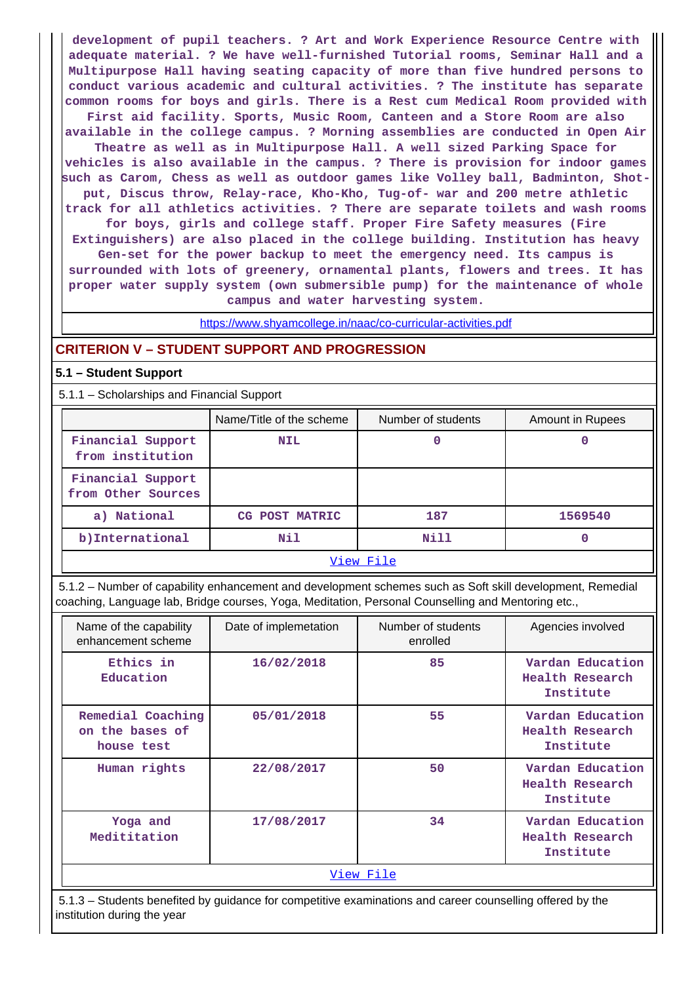**development of pupil teachers. ? Art and Work Experience Resource Centre with adequate material. ? We have well-furnished Tutorial rooms, Seminar Hall and a Multipurpose Hall having seating capacity of more than five hundred persons to conduct various academic and cultural activities. ? The institute has separate common rooms for boys and girls. There is a Rest cum Medical Room provided with**

**First aid facility. Sports, Music Room, Canteen and a Store Room are also available in the college campus. ? Morning assemblies are conducted in Open Air Theatre as well as in Multipurpose Hall. A well sized Parking Space for**

**vehicles is also available in the campus. ? There is provision for indoor games such as Carom, Chess as well as outdoor games like Volley ball, Badminton, Shotput, Discus throw, Relay-race, Kho-Kho, Tug-of- war and 200 metre athletic track for all athletics activities. ? There are separate toilets and wash rooms**

**for boys, girls and college staff. Proper Fire Safety measures (Fire**

**Extinguishers) are also placed in the college building. Institution has heavy Gen-set for the power backup to meet the emergency need. Its campus is surrounded with lots of greenery, ornamental plants, flowers and trees. It has proper water supply system (own submersible pump) for the maintenance of whole campus and water harvesting system.**

https://www.shyamcollege.in/naac/co-curricular-activities.pdf

#### **CRITERION V – STUDENT SUPPORT AND PROGRESSION**

#### **5.1 – Student Support**

5.1.1 – Scholarships and Financial Support

|                                         | Name/Title of the scheme | Number of students | <b>Amount in Rupees</b> |
|-----------------------------------------|--------------------------|--------------------|-------------------------|
| Financial Support<br>from institution   | <b>NIL</b>               | 0                  | 0                       |
| Financial Support<br>from Other Sources |                          |                    |                         |
| a) National                             | CG POST MATRIC           | 187                | 1569540                 |
| b) International                        | Nil                      | Nill               | 0                       |
|                                         |                          | View File          |                         |

 5.1.2 – Number of capability enhancement and development schemes such as Soft skill development, Remedial coaching, Language lab, Bridge courses, Yoga, Meditation, Personal Counselling and Mentoring etc.,

| Name of the capability<br>enhancement scheme       | Date of implemetation | Number of students<br>enrolled | Agencies involved                                |
|----------------------------------------------------|-----------------------|--------------------------------|--------------------------------------------------|
| Ethics in<br>Education                             | 16/02/2018            | 85                             | Vardan Education<br>Health Research<br>Institute |
| Remedial Coaching<br>on the bases of<br>house test | 05/01/2018            | 55                             | Vardan Education<br>Health Research<br>Institute |
| Human rights                                       | 22/08/2017            | 50                             | Vardan Education<br>Health Research<br>Institute |
| Yoga and<br>Medititation                           | 17/08/2017            | 34                             | Vardan Education<br>Health Research<br>Institute |
|                                                    |                       | View File                      |                                                  |

 5.1.3 – Students benefited by guidance for competitive examinations and career counselling offered by the institution during the year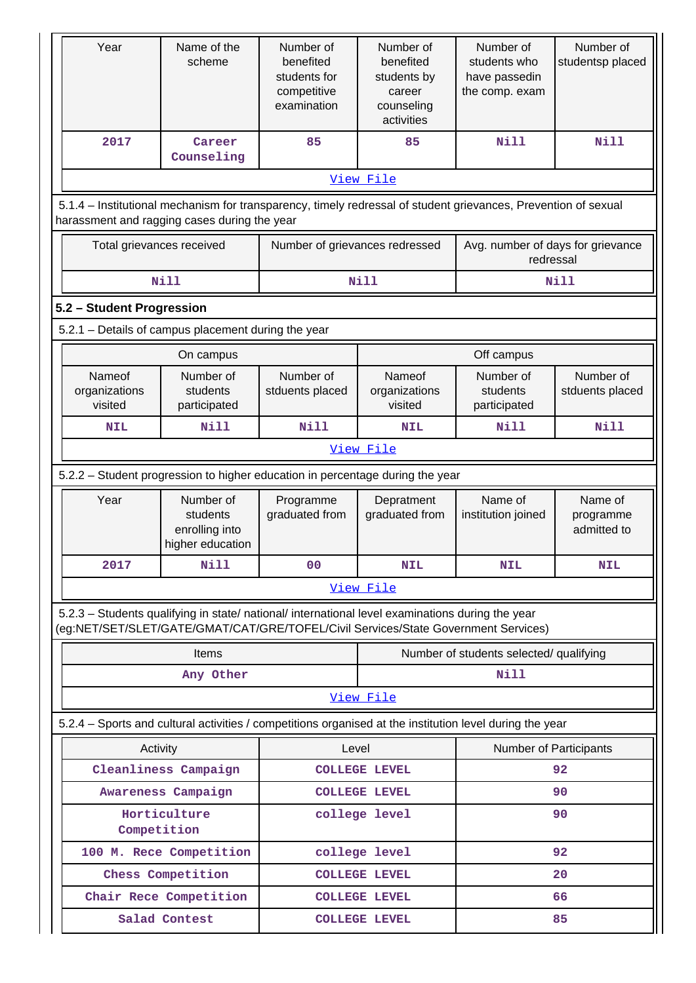| Year                                                                                                                                                                                   | Name of the<br>scheme                                       | Number of<br>benefited<br>students for<br>competitive<br>examination | Number of<br>benefited<br>students by<br>career<br>counseling<br>activities | Number of<br>students who<br>have passedin<br>the comp. exam | Number of<br>studentsp placed       |
|----------------------------------------------------------------------------------------------------------------------------------------------------------------------------------------|-------------------------------------------------------------|----------------------------------------------------------------------|-----------------------------------------------------------------------------|--------------------------------------------------------------|-------------------------------------|
| 2017                                                                                                                                                                                   | Career<br>Counseling                                        | 85                                                                   | 85                                                                          | <b>Nill</b>                                                  | <b>Nill</b>                         |
|                                                                                                                                                                                        |                                                             |                                                                      | View File                                                                   |                                                              |                                     |
| 5.1.4 – Institutional mechanism for transparency, timely redressal of student grievances, Prevention of sexual<br>harassment and ragging cases during the year                         |                                                             |                                                                      |                                                                             |                                                              |                                     |
| Total grievances received                                                                                                                                                              |                                                             | Number of grievances redressed                                       |                                                                             | Avg. number of days for grievance<br>redressal               |                                     |
|                                                                                                                                                                                        | <b>Nill</b>                                                 |                                                                      | <b>Nill</b>                                                                 |                                                              | Nill                                |
| 5.2 - Student Progression                                                                                                                                                              |                                                             |                                                                      |                                                                             |                                                              |                                     |
| 5.2.1 - Details of campus placement during the year                                                                                                                                    |                                                             |                                                                      |                                                                             |                                                              |                                     |
|                                                                                                                                                                                        | On campus                                                   |                                                                      |                                                                             | Off campus                                                   |                                     |
| Nameof<br>organizations<br>visited                                                                                                                                                     | Number of<br>students<br>participated                       | Number of<br>stduents placed                                         | Nameof<br>organizations<br>visited                                          | Number of<br>students<br>participated                        | Number of<br>stduents placed        |
| <b>NIL</b>                                                                                                                                                                             | Nill                                                        | <b>Nill</b>                                                          | <b>NIL</b>                                                                  | <b>Nill</b>                                                  | <b>Nill</b>                         |
|                                                                                                                                                                                        |                                                             |                                                                      | View File                                                                   |                                                              |                                     |
| 5.2.2 - Student progression to higher education in percentage during the year                                                                                                          |                                                             |                                                                      |                                                                             |                                                              |                                     |
|                                                                                                                                                                                        |                                                             |                                                                      |                                                                             |                                                              |                                     |
| Year                                                                                                                                                                                   | Number of<br>students<br>enrolling into<br>higher education | Programme<br>graduated from                                          | Depratment<br>graduated from                                                | Name of<br>institution joined                                | Name of<br>programme<br>admitted to |
| 2017                                                                                                                                                                                   | <b>Nill</b>                                                 | 0 <sup>0</sup>                                                       | <b>NIL</b>                                                                  | <b>NIL</b>                                                   | <b>NIL</b>                          |
|                                                                                                                                                                                        |                                                             |                                                                      | View File                                                                   |                                                              |                                     |
| 5.2.3 - Students qualifying in state/ national/ international level examinations during the year<br>(eg:NET/SET/SLET/GATE/GMAT/CAT/GRE/TOFEL/Civil Services/State Government Services) |                                                             |                                                                      |                                                                             |                                                              |                                     |
|                                                                                                                                                                                        | <b>Items</b>                                                |                                                                      |                                                                             | Number of students selected/ qualifying                      |                                     |
|                                                                                                                                                                                        | Any Other                                                   |                                                                      |                                                                             | <b>Nill</b>                                                  |                                     |
|                                                                                                                                                                                        |                                                             |                                                                      | View File                                                                   |                                                              |                                     |
| 5.2.4 – Sports and cultural activities / competitions organised at the institution level during the year                                                                               |                                                             |                                                                      |                                                                             |                                                              |                                     |
| Activity                                                                                                                                                                               |                                                             | Level                                                                |                                                                             | Number of Participants                                       |                                     |
|                                                                                                                                                                                        | Cleanliness Campaign                                        |                                                                      | <b>COLLEGE LEVEL</b>                                                        |                                                              | 92                                  |
|                                                                                                                                                                                        | Awareness Campaign                                          |                                                                      | <b>COLLEGE LEVEL</b>                                                        |                                                              | 90                                  |
| Competition                                                                                                                                                                            | Horticulture                                                |                                                                      | college level                                                               |                                                              | 90                                  |
|                                                                                                                                                                                        | 100 M. Rece Competition                                     |                                                                      | college level                                                               |                                                              | 92                                  |
|                                                                                                                                                                                        | Chess Competition                                           |                                                                      | <b>COLLEGE LEVEL</b>                                                        |                                                              | 20                                  |
|                                                                                                                                                                                        | Chair Rece Competition                                      |                                                                      | <b>COLLEGE LEVEL</b>                                                        |                                                              | 66                                  |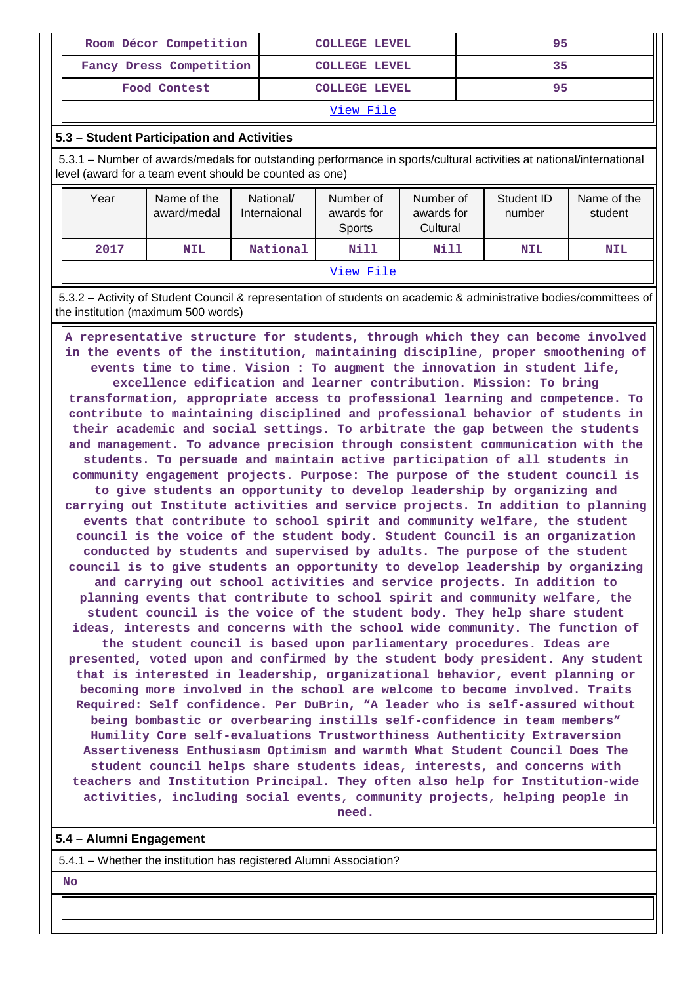| Room Décor Competition  | <b>COLLEGE LEVEL</b> | 95 |
|-------------------------|----------------------|----|
| Fancy Dress Competition | <b>COLLEGE LEVEL</b> | 35 |
| Food Contest            | <b>COLLEGE LEVEL</b> | 95 |
|                         |                      |    |

View File

#### **5.3 – Student Participation and Activities**

 5.3.1 – Number of awards/medals for outstanding performance in sports/cultural activities at national/international level (award for a team event should be counted as one)

| Year | Name of the<br>award/medal | National/<br>Internaional | Number of<br>awards for<br>Sports | Number of<br>awards for<br>Cultural | Student ID<br>number | Name of the<br>student |
|------|----------------------------|---------------------------|-----------------------------------|-------------------------------------|----------------------|------------------------|
| 2017 | <b>NIL</b>                 | National                  | Nill                              | Nill                                | <b>NIL</b>           | <b>NIL</b>             |
|      |                            |                           | View File                         |                                     |                      |                        |

 5.3.2 – Activity of Student Council & representation of students on academic & administrative bodies/committees of the institution (maximum 500 words)

 **A representative structure for students, through which they can become involved in the events of the institution, maintaining discipline, proper smoothening of events time to time. Vision : To augment the innovation in student life, excellence edification and learner contribution. Mission: To bring transformation, appropriate access to professional learning and competence. To contribute to maintaining disciplined and professional behavior of students in their academic and social settings. To arbitrate the gap between the students and management. To advance precision through consistent communication with the students. To persuade and maintain active participation of all students in community engagement projects. Purpose: The purpose of the student council is to give students an opportunity to develop leadership by organizing and carrying out Institute activities and service projects. In addition to planning events that contribute to school spirit and community welfare, the student council is the voice of the student body. Student Council is an organization conducted by students and supervised by adults. The purpose of the student council is to give students an opportunity to develop leadership by organizing and carrying out school activities and service projects. In addition to planning events that contribute to school spirit and community welfare, the student council is the voice of the student body. They help share student ideas, interests and concerns with the school wide community. The function of the student council is based upon parliamentary procedures. Ideas are presented, voted upon and confirmed by the student body president. Any student that is interested in leadership, organizational behavior, event planning or becoming more involved in the school are welcome to become involved. Traits Required: Self confidence. Per DuBrin, "A leader who is self-assured without being bombastic or overbearing instills self-confidence in team members" Humility Core self-evaluations Trustworthiness Authenticity Extraversion Assertiveness Enthusiasm Optimism and warmth What Student Council Does The student council helps share students ideas, interests, and concerns with teachers and Institution Principal. They often also help for Institution-wide activities, including social events, community projects, helping people in need.**

#### **5.4 – Alumni Engagement**

5.4.1 – Whether the institution has registered Alumni Association?

#### **No**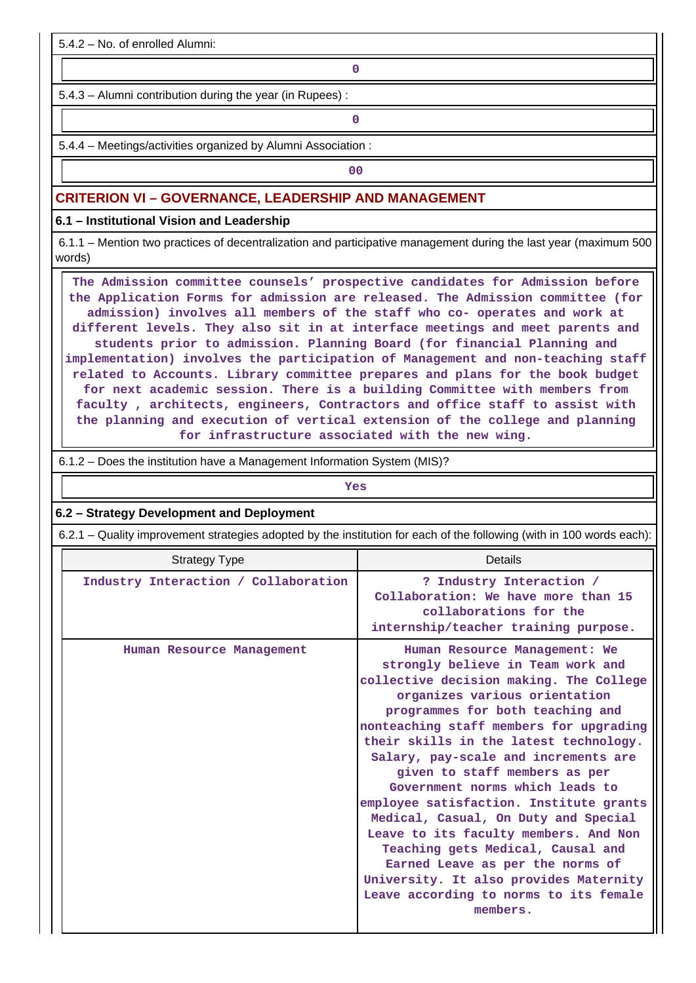5.4.2 – No. of enrolled Alumni:

**0**

5.4.3 – Alumni contribution during the year (in Rupees) :

**0**

5.4.4 – Meetings/activities organized by Alumni Association :

**00**

#### **CRITERION VI – GOVERNANCE, LEADERSHIP AND MANAGEMENT**

**6.1 – Institutional Vision and Leadership**

 6.1.1 – Mention two practices of decentralization and participative management during the last year (maximum 500 words)

 **The Admission committee counsels' prospective candidates for Admission before the Application Forms for admission are released. The Admission committee (for admission) involves all members of the staff who co- operates and work at different levels. They also sit in at interface meetings and meet parents and students prior to admission. Planning Board (for financial Planning and implementation) involves the participation of Management and non-teaching staff related to Accounts. Library committee prepares and plans for the book budget for next academic session. There is a building Committee with members from faculty , architects, engineers, Contractors and office staff to assist with the planning and execution of vertical extension of the college and planning for infrastructure associated with the new wing.**

6.1.2 – Does the institution have a Management Information System (MIS)?

*Yes* **6.2 – Strategy Development and Deployment** 6.2.1 – Quality improvement strategies adopted by the institution for each of the following (with in 100 words each): Strategy Type Details  **Industry Interaction / Collaboration ? Industry Interaction / Collaboration: We have more than 15 collaborations for the internship/teacher training purpose. Human Resource Management Human Resource Management: We strongly believe in Team work and collective decision making. The College organizes various orientation programmes for both teaching and nonteaching staff members for upgrading their skills in the latest technology. Salary, pay-scale and increments are given to staff members as per Government norms which leads to employee satisfaction. Institute grants Medical, Casual, On Duty and Special Leave to its faculty members. And Non Teaching gets Medical, Causal and Earned Leave as per the norms of**

> **University. It also provides Maternity Leave according to norms to its female members.**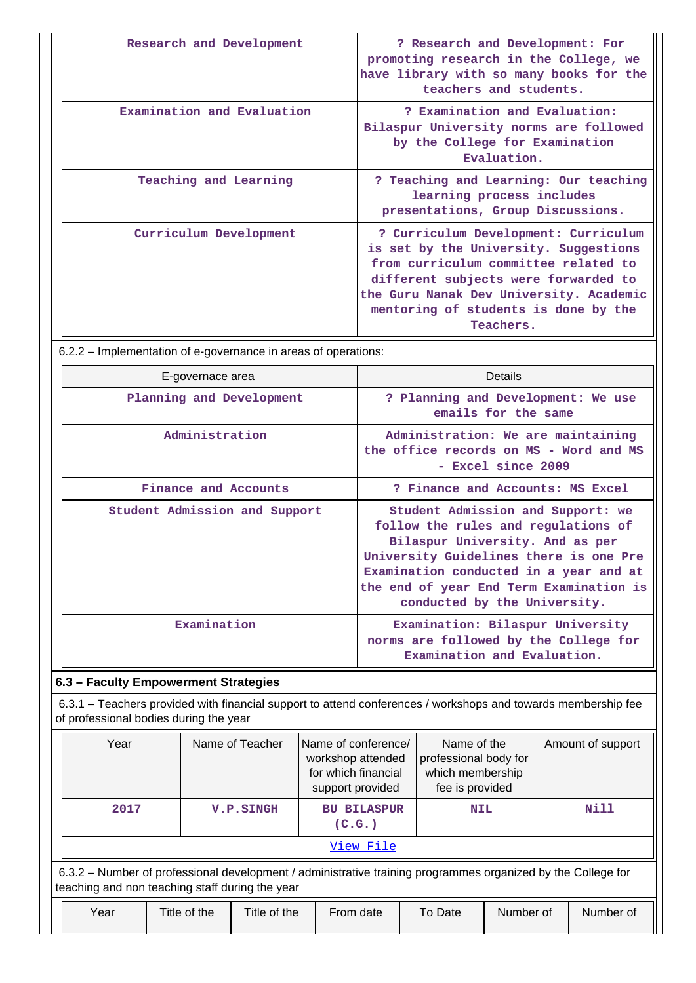| Research and Development   | ? Research and Development: For<br>promoting research in the College, we<br>have library with so many books for the<br>teachers and students.                                                                                                                 |
|----------------------------|---------------------------------------------------------------------------------------------------------------------------------------------------------------------------------------------------------------------------------------------------------------|
| Examination and Evaluation | ? Examination and Evaluation:<br>Bilaspur University norms are followed<br>by the College for Examination<br>Evaluation.                                                                                                                                      |
| Teaching and Learning      | ? Teaching and Learning: Our teaching<br>learning process includes<br>presentations, Group Discussions.                                                                                                                                                       |
| Curriculum Development     | ? Curriculum Development: Curriculum<br>is set by the University. Suggestions<br>from curriculum committee related to<br>different subjects were forwarded to<br>the Guru Nanak Dev University. Academic<br>mentoring of students is done by the<br>Teachers. |

6.2.2 – Implementation of e-governance in areas of operations:

| E-governace area              | <b>Details</b>                                                                                                                                                                                                                                                             |
|-------------------------------|----------------------------------------------------------------------------------------------------------------------------------------------------------------------------------------------------------------------------------------------------------------------------|
| Planning and Development      | ? Planning and Development: We use<br>emails for the same                                                                                                                                                                                                                  |
| Administration                | Administration: We are maintaining<br>the office records on MS - Word and MS<br>- Excel since 2009                                                                                                                                                                         |
| Finance and Accounts          | ? Finance and Accounts: MS Excel                                                                                                                                                                                                                                           |
| Student Admission and Support | Student Admission and Support: we<br>follow the rules and regulations of<br>Bilaspur University. And as per<br>University Guidelines there is one Pre<br>Examination conducted in a year and at<br>the end of year End Term Examination is<br>conducted by the University. |
| Examination                   | Examination: Bilaspur University<br>norms are followed by the College for<br>Examination and Evaluation.                                                                                                                                                                   |

# **6.3 – Faculty Empowerment Strategies**

 6.3.1 – Teachers provided with financial support to attend conferences / workshops and towards membership fee of professional bodies during the year

| Year                                                                                                                                                            |              | Name of Teacher<br>Name of conference/<br>workshop attended<br>for which financial<br>support provided |                              | Name of the<br>professional body for<br>which membership<br>fee is provided |           | Amount of support |  |
|-----------------------------------------------------------------------------------------------------------------------------------------------------------------|--------------|--------------------------------------------------------------------------------------------------------|------------------------------|-----------------------------------------------------------------------------|-----------|-------------------|--|
| 2017                                                                                                                                                            |              | <b>V.P.SINGH</b>                                                                                       | <b>BU BILASPUR</b><br>(C.G.) | <b>NIL</b>                                                                  |           | Nill              |  |
|                                                                                                                                                                 |              |                                                                                                        | View File                    |                                                                             |           |                   |  |
| 6.3.2 – Number of professional development / administrative training programmes organized by the College for<br>teaching and non teaching staff during the year |              |                                                                                                        |                              |                                                                             |           |                   |  |
| Year                                                                                                                                                            | Title of the | Title of the                                                                                           | From date                    | To Date                                                                     | Number of | Number of         |  |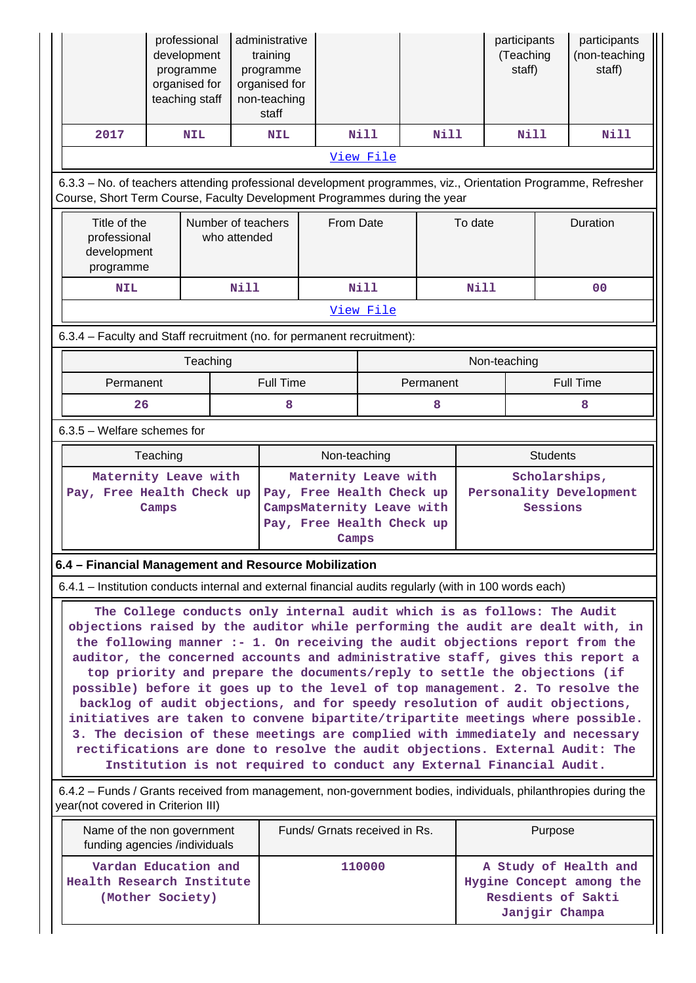|                                                                                                                                                                                                                                                                                                                                                                                                                                                                                                                                                                                                                                                                                                                                                                                                                                                                                                    |                                                                                                                                                                                            | professional<br>development<br>programme<br>organised for<br>teaching staff |             | administrative<br>training<br>programme<br>organised for<br>non-teaching<br>staff |                                                                                                                      |              |           |             | participants<br>(Teaching<br>staff)                                                       |         | participants<br>(non-teaching<br>staff) |  |  |
|----------------------------------------------------------------------------------------------------------------------------------------------------------------------------------------------------------------------------------------------------------------------------------------------------------------------------------------------------------------------------------------------------------------------------------------------------------------------------------------------------------------------------------------------------------------------------------------------------------------------------------------------------------------------------------------------------------------------------------------------------------------------------------------------------------------------------------------------------------------------------------------------------|--------------------------------------------------------------------------------------------------------------------------------------------------------------------------------------------|-----------------------------------------------------------------------------|-------------|-----------------------------------------------------------------------------------|----------------------------------------------------------------------------------------------------------------------|--------------|-----------|-------------|-------------------------------------------------------------------------------------------|---------|-----------------------------------------|--|--|
| 2017                                                                                                                                                                                                                                                                                                                                                                                                                                                                                                                                                                                                                                                                                                                                                                                                                                                                                               |                                                                                                                                                                                            | <b>NIL</b>                                                                  |             | <b>NIL</b>                                                                        |                                                                                                                      | <b>Nill</b>  |           | <b>Nill</b> | Nill                                                                                      |         | <b>Nill</b>                             |  |  |
|                                                                                                                                                                                                                                                                                                                                                                                                                                                                                                                                                                                                                                                                                                                                                                                                                                                                                                    |                                                                                                                                                                                            |                                                                             |             |                                                                                   |                                                                                                                      | View File    |           |             |                                                                                           |         |                                         |  |  |
|                                                                                                                                                                                                                                                                                                                                                                                                                                                                                                                                                                                                                                                                                                                                                                                                                                                                                                    | 6.3.3 - No. of teachers attending professional development programmes, viz., Orientation Programme, Refresher<br>Course, Short Term Course, Faculty Development Programmes during the year |                                                                             |             |                                                                                   |                                                                                                                      |              |           |             |                                                                                           |         |                                         |  |  |
| Title of the<br>professional<br>development<br>programme                                                                                                                                                                                                                                                                                                                                                                                                                                                                                                                                                                                                                                                                                                                                                                                                                                           |                                                                                                                                                                                            | Number of teachers<br>who attended                                          |             |                                                                                   | From Date                                                                                                            |              |           | To date     | Duration                                                                                  |         |                                         |  |  |
| <b>NIL</b>                                                                                                                                                                                                                                                                                                                                                                                                                                                                                                                                                                                                                                                                                                                                                                                                                                                                                         |                                                                                                                                                                                            |                                                                             | <b>Nill</b> |                                                                                   |                                                                                                                      | <b>Nill</b>  |           | Nill        |                                                                                           |         | 0 <sup>0</sup>                          |  |  |
|                                                                                                                                                                                                                                                                                                                                                                                                                                                                                                                                                                                                                                                                                                                                                                                                                                                                                                    |                                                                                                                                                                                            |                                                                             |             |                                                                                   |                                                                                                                      | View File    |           |             |                                                                                           |         |                                         |  |  |
| 6.3.4 - Faculty and Staff recruitment (no. for permanent recruitment):                                                                                                                                                                                                                                                                                                                                                                                                                                                                                                                                                                                                                                                                                                                                                                                                                             |                                                                                                                                                                                            |                                                                             |             |                                                                                   |                                                                                                                      |              |           |             |                                                                                           |         |                                         |  |  |
|                                                                                                                                                                                                                                                                                                                                                                                                                                                                                                                                                                                                                                                                                                                                                                                                                                                                                                    |                                                                                                                                                                                            | Teaching                                                                    |             |                                                                                   |                                                                                                                      |              |           |             | Non-teaching                                                                              |         |                                         |  |  |
| Permanent                                                                                                                                                                                                                                                                                                                                                                                                                                                                                                                                                                                                                                                                                                                                                                                                                                                                                          |                                                                                                                                                                                            |                                                                             |             | <b>Full Time</b>                                                                  |                                                                                                                      |              | Permanent |             |                                                                                           |         | <b>Full Time</b>                        |  |  |
| 26                                                                                                                                                                                                                                                                                                                                                                                                                                                                                                                                                                                                                                                                                                                                                                                                                                                                                                 |                                                                                                                                                                                            |                                                                             |             | 8                                                                                 |                                                                                                                      |              |           | 8           | 8                                                                                         |         |                                         |  |  |
| 6.3.5 - Welfare schemes for                                                                                                                                                                                                                                                                                                                                                                                                                                                                                                                                                                                                                                                                                                                                                                                                                                                                        |                                                                                                                                                                                            |                                                                             |             |                                                                                   |                                                                                                                      |              |           |             |                                                                                           |         |                                         |  |  |
|                                                                                                                                                                                                                                                                                                                                                                                                                                                                                                                                                                                                                                                                                                                                                                                                                                                                                                    | Teaching                                                                                                                                                                                   |                                                                             |             |                                                                                   |                                                                                                                      | Non-teaching |           |             |                                                                                           |         | <b>Students</b>                         |  |  |
| Maternity Leave with<br>Pay, Free Health Check up                                                                                                                                                                                                                                                                                                                                                                                                                                                                                                                                                                                                                                                                                                                                                                                                                                                  | Camps                                                                                                                                                                                      |                                                                             |             |                                                                                   | Maternity Leave with<br>Pay, Free Health Check up<br>CampsMaternity Leave with<br>Pay, Free Health Check up<br>Camps |              |           |             | Scholarships,<br>Personality Development<br>Sessions                                      |         |                                         |  |  |
| 6.4 - Financial Management and Resource Mobilization                                                                                                                                                                                                                                                                                                                                                                                                                                                                                                                                                                                                                                                                                                                                                                                                                                               |                                                                                                                                                                                            |                                                                             |             |                                                                                   |                                                                                                                      |              |           |             |                                                                                           |         |                                         |  |  |
| 6.4.1 – Institution conducts internal and external financial audits regularly (with in 100 words each)                                                                                                                                                                                                                                                                                                                                                                                                                                                                                                                                                                                                                                                                                                                                                                                             |                                                                                                                                                                                            |                                                                             |             |                                                                                   |                                                                                                                      |              |           |             |                                                                                           |         |                                         |  |  |
| The College conducts only internal audit which is as follows: The Audit<br>objections raised by the auditor while performing the audit are dealt with, in<br>the following manner :- 1. On receiving the audit objections report from the<br>auditor, the concerned accounts and administrative staff, gives this report a<br>top priority and prepare the documents/reply to settle the objections (if<br>possible) before it goes up to the level of top management. 2. To resolve the<br>backlog of audit objections, and for speedy resolution of audit objections,<br>initiatives are taken to convene bipartite/tripartite meetings where possible.<br>3. The decision of these meetings are complied with immediately and necessary<br>rectifications are done to resolve the audit objections. External Audit: The<br>Institution is not required to conduct any External Financial Audit. |                                                                                                                                                                                            |                                                                             |             |                                                                                   |                                                                                                                      |              |           |             |                                                                                           |         |                                         |  |  |
|                                                                                                                                                                                                                                                                                                                                                                                                                                                                                                                                                                                                                                                                                                                                                                                                                                                                                                    | 6.4.2 – Funds / Grants received from management, non-government bodies, individuals, philanthropies during the<br>year(not covered in Criterion III)                                       |                                                                             |             |                                                                                   |                                                                                                                      |              |           |             |                                                                                           |         |                                         |  |  |
| Name of the non government<br>funding agencies /individuals                                                                                                                                                                                                                                                                                                                                                                                                                                                                                                                                                                                                                                                                                                                                                                                                                                        |                                                                                                                                                                                            |                                                                             |             |                                                                                   | Funds/ Grnats received in Rs.                                                                                        |              |           |             |                                                                                           | Purpose |                                         |  |  |
| Vardan Education and<br>Health Research Institute<br>(Mother Society)                                                                                                                                                                                                                                                                                                                                                                                                                                                                                                                                                                                                                                                                                                                                                                                                                              |                                                                                                                                                                                            |                                                                             |             |                                                                                   |                                                                                                                      | 110000       |           |             | A Study of Health and<br>Hygine Concept among the<br>Resdients of Sakti<br>Janjgir Champa |         |                                         |  |  |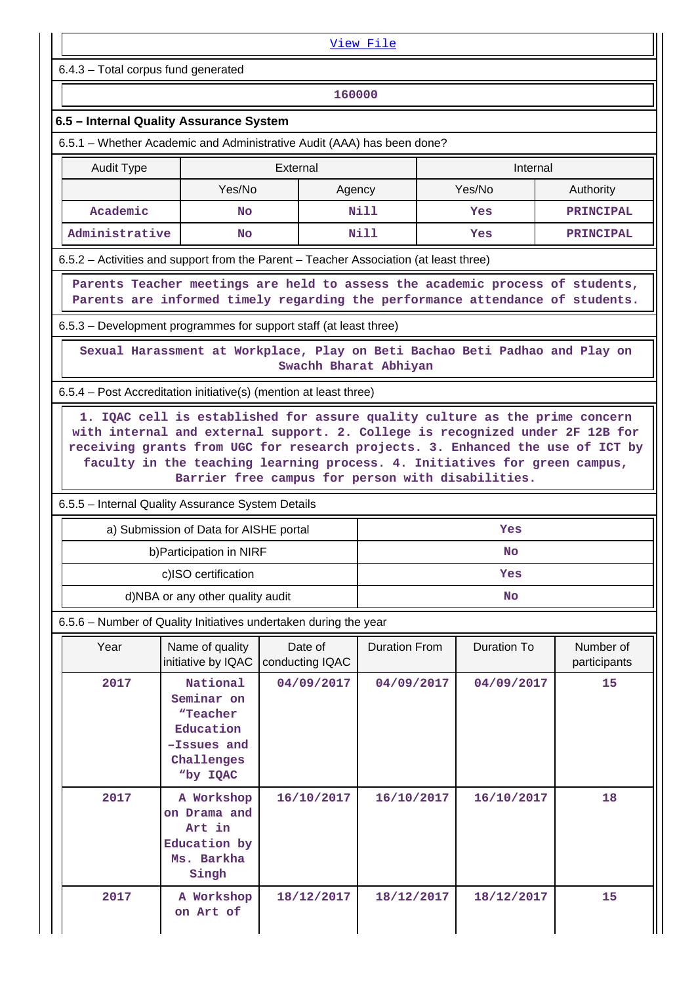|                                                                                                                                                                                                                                                                                                                                                         |                                                                             |                       | View File                              |                    |                                                                             |  |  |  |  |  |
|---------------------------------------------------------------------------------------------------------------------------------------------------------------------------------------------------------------------------------------------------------------------------------------------------------------------------------------------------------|-----------------------------------------------------------------------------|-----------------------|----------------------------------------|--------------------|-----------------------------------------------------------------------------|--|--|--|--|--|
|                                                                                                                                                                                                                                                                                                                                                         | 6.4.3 - Total corpus fund generated                                         |                       |                                        |                    |                                                                             |  |  |  |  |  |
| 160000                                                                                                                                                                                                                                                                                                                                                  |                                                                             |                       |                                        |                    |                                                                             |  |  |  |  |  |
| 6.5 - Internal Quality Assurance System                                                                                                                                                                                                                                                                                                                 |                                                                             |                       |                                        |                    |                                                                             |  |  |  |  |  |
| 6.5.1 - Whether Academic and Administrative Audit (AAA) has been done?                                                                                                                                                                                                                                                                                  |                                                                             |                       |                                        |                    |                                                                             |  |  |  |  |  |
| <b>Audit Type</b>                                                                                                                                                                                                                                                                                                                                       |                                                                             | External<br>Internal  |                                        |                    |                                                                             |  |  |  |  |  |
|                                                                                                                                                                                                                                                                                                                                                         | Yes/No                                                                      | Agency                |                                        | Yes/No             | Authority                                                                   |  |  |  |  |  |
| Academic                                                                                                                                                                                                                                                                                                                                                | <b>No</b>                                                                   |                       | Nill                                   | Yes                | <b>PRINCIPAL</b>                                                            |  |  |  |  |  |
| Administrative                                                                                                                                                                                                                                                                                                                                          | <b>No</b>                                                                   |                       | <b>Nill</b><br>Yes<br><b>PRINCIPAL</b> |                    |                                                                             |  |  |  |  |  |
| 6.5.2 – Activities and support from the Parent – Teacher Association (at least three)                                                                                                                                                                                                                                                                   |                                                                             |                       |                                        |                    |                                                                             |  |  |  |  |  |
| Parents Teacher meetings are held to assess the academic process of students,<br>Parents are informed timely regarding the performance attendance of students.                                                                                                                                                                                          |                                                                             |                       |                                        |                    |                                                                             |  |  |  |  |  |
| 6.5.3 – Development programmes for support staff (at least three)                                                                                                                                                                                                                                                                                       |                                                                             |                       |                                        |                    |                                                                             |  |  |  |  |  |
|                                                                                                                                                                                                                                                                                                                                                         |                                                                             | Swachh Bharat Abhiyan |                                        |                    | Sexual Harassment at Workplace, Play on Beti Bachao Beti Padhao and Play on |  |  |  |  |  |
| 6.5.4 – Post Accreditation initiative(s) (mention at least three)                                                                                                                                                                                                                                                                                       |                                                                             |                       |                                        |                    |                                                                             |  |  |  |  |  |
| with internal and external support. 2. College is recognized under 2F 12B for<br>receiving grants from UGC for research projects. 3. Enhanced the use of ICT by<br>faculty in the teaching learning process. 4. Initiatives for green campus,<br>Barrier free campus for person with disabilities.<br>6.5.5 - Internal Quality Assurance System Details |                                                                             |                       |                                        |                    |                                                                             |  |  |  |  |  |
|                                                                                                                                                                                                                                                                                                                                                         |                                                                             |                       |                                        |                    |                                                                             |  |  |  |  |  |
|                                                                                                                                                                                                                                                                                                                                                         | a) Submission of Data for AISHE portal<br>b) Participation in NIRF          |                       |                                        | Yes                |                                                                             |  |  |  |  |  |
|                                                                                                                                                                                                                                                                                                                                                         | c)ISO certification                                                         |                       |                                        | NO<br>Yes          |                                                                             |  |  |  |  |  |
|                                                                                                                                                                                                                                                                                                                                                         | d)NBA or any other quality audit                                            |                       |                                        | No                 |                                                                             |  |  |  |  |  |
| 6.5.6 - Number of Quality Initiatives undertaken during the year                                                                                                                                                                                                                                                                                        |                                                                             |                       |                                        |                    |                                                                             |  |  |  |  |  |
| Year                                                                                                                                                                                                                                                                                                                                                    | Name of quality                                                             | Date of               | <b>Duration From</b>                   | <b>Duration To</b> | Number of                                                                   |  |  |  |  |  |
| initiative by IQAC<br>conducting IQAC<br>participants<br>National<br>2017<br>04/09/2017<br>04/09/2017<br>04/09/2017<br>15<br>Seminar on<br>"Teacher<br>Education<br>-Issues and<br>Challenges<br>"by IQAC                                                                                                                                               |                                                                             |                       |                                        |                    |                                                                             |  |  |  |  |  |
| 2017                                                                                                                                                                                                                                                                                                                                                    | A Workshop<br>on Drama and<br>Art in<br>Education by<br>Ms. Barkha<br>Singh | 16/10/2017            | 16/10/2017                             | 16/10/2017         | 18                                                                          |  |  |  |  |  |
| 2017                                                                                                                                                                                                                                                                                                                                                    | A Workshop<br>on Art of                                                     | 18/12/2017            | 18/12/2017                             | 18/12/2017         | 15                                                                          |  |  |  |  |  |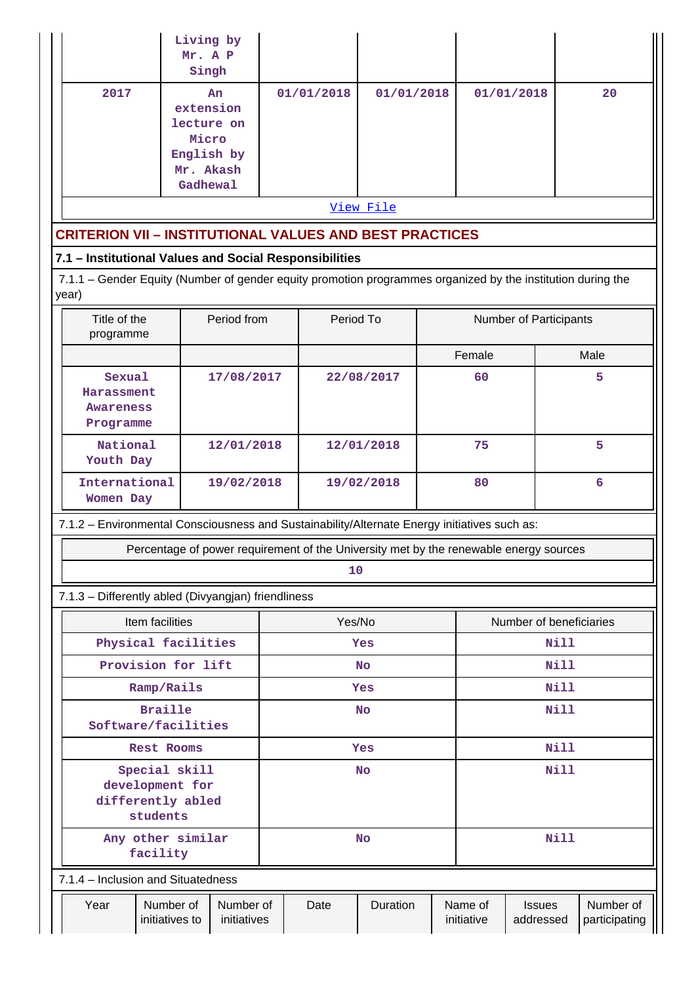|       |                                                                                                             |                                                     | Living by<br>Mr. A P<br>Singh                        |  |                                                                                              |            |                                        |                       |                            |   |                            |
|-------|-------------------------------------------------------------------------------------------------------------|-----------------------------------------------------|------------------------------------------------------|--|----------------------------------------------------------------------------------------------|------------|----------------------------------------|-----------------------|----------------------------|---|----------------------------|
|       | 2017                                                                                                        |                                                     | An<br>extension<br>lecture on<br>Micro<br>English by |  | 01/01/2018                                                                                   | 01/01/2018 |                                        | 01/01/2018            |                            |   | 20                         |
|       |                                                                                                             |                                                     | Mr. Akash                                            |  |                                                                                              |            |                                        |                       |                            |   |                            |
|       |                                                                                                             |                                                     | Gadhewal                                             |  |                                                                                              | View File  |                                        |                       |                            |   |                            |
|       | <b>CRITERION VII - INSTITUTIONAL VALUES AND BEST PRACTICES</b>                                              |                                                     |                                                      |  |                                                                                              |            |                                        |                       |                            |   |                            |
|       | 7.1 - Institutional Values and Social Responsibilities                                                      |                                                     |                                                      |  |                                                                                              |            |                                        |                       |                            |   |                            |
| year) | 7.1.1 - Gender Equity (Number of gender equity promotion programmes organized by the institution during the |                                                     |                                                      |  |                                                                                              |            |                                        |                       |                            |   |                            |
|       | Title of the<br>programme                                                                                   |                                                     | Period from                                          |  | Period To                                                                                    |            |                                        |                       | Number of Participants     |   |                            |
|       |                                                                                                             |                                                     |                                                      |  |                                                                                              |            |                                        | Female                |                            |   | Male                       |
|       | Sexual<br>Harassment<br><b>Awareness</b><br>Programme                                                       |                                                     | 17/08/2017                                           |  |                                                                                              | 22/08/2017 |                                        | 60                    |                            | 5 |                            |
|       | National<br>Youth Day                                                                                       |                                                     | 12/01/2018                                           |  |                                                                                              | 12/01/2018 |                                        | 75                    |                            |   | 5                          |
|       | International<br>Women Day                                                                                  |                                                     | 19/02/2018                                           |  |                                                                                              | 19/02/2018 |                                        | 80                    |                            |   | $6\overline{6}$            |
|       |                                                                                                             |                                                     |                                                      |  | 7.1.2 - Environmental Consciousness and Sustainability/Alternate Energy initiatives such as: |            |                                        |                       |                            |   |                            |
|       |                                                                                                             |                                                     |                                                      |  | Percentage of power requirement of the University met by the renewable energy sources        |            |                                        |                       |                            |   |                            |
|       |                                                                                                             |                                                     |                                                      |  | 10                                                                                           |            |                                        |                       |                            |   |                            |
|       |                                                                                                             | 7.1.3 - Differently abled (Divyangjan) friendliness |                                                      |  |                                                                                              |            |                                        |                       |                            |   |                            |
|       |                                                                                                             | Item facilities<br>Physical facilities              |                                                      |  | Yes/No<br>Yes                                                                                |            | Number of beneficiaries<br><b>Nill</b> |                       |                            |   |                            |
|       |                                                                                                             | Provision for lift                                  |                                                      |  | <b>No</b>                                                                                    |            | Nill                                   |                       |                            |   |                            |
|       |                                                                                                             | Ramp/Rails                                          |                                                      |  | Yes                                                                                          |            | Nill                                   |                       |                            |   |                            |
|       | <b>Braille</b><br>Software/facilities                                                                       |                                                     |                                                      |  | <b>No</b>                                                                                    |            | <b>Nill</b>                            |                       |                            |   |                            |
|       | <b>Rest Rooms</b>                                                                                           |                                                     |                                                      |  | Yes                                                                                          |            | <b>Nill</b>                            |                       |                            |   |                            |
|       | Special skill<br>development for<br>differently abled<br>students                                           |                                                     |                                                      |  | <b>No</b>                                                                                    |            |                                        |                       | Nill                       |   |                            |
|       |                                                                                                             | Any other similar<br>facility                       |                                                      |  | No                                                                                           |            | Nill                                   |                       |                            |   |                            |
|       |                                                                                                             | 7.1.4 - Inclusion and Situatedness                  |                                                      |  |                                                                                              |            |                                        |                       |                            |   |                            |
|       | Year                                                                                                        | Number of<br>initiatives to                         | Number of<br>initiatives                             |  | Date                                                                                         | Duration   |                                        | Name of<br>initiative | <b>Issues</b><br>addressed |   | Number of<br>participating |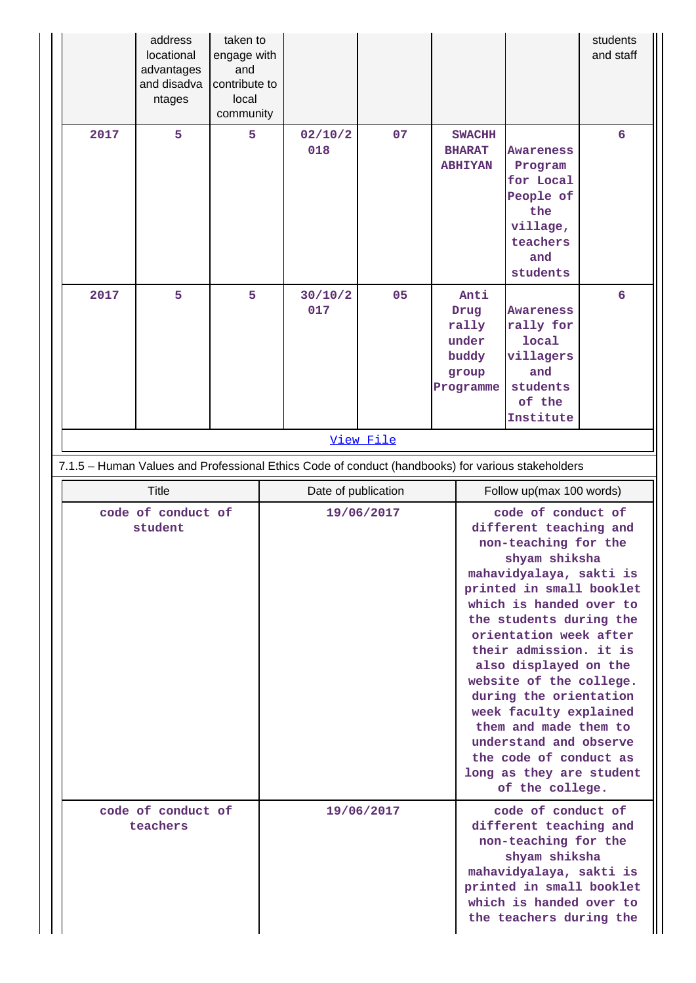|                                | address<br>locational<br>advantages<br>and disadva<br>ntages | taken to<br>engage with<br>and<br>contribute to<br>local<br>community |                     |            |  |                                                               |                                                                                                                                                                                                                                                                                                                                                                                                                                                                                            | students<br>and staff |  |
|--------------------------------|--------------------------------------------------------------|-----------------------------------------------------------------------|---------------------|------------|--|---------------------------------------------------------------|--------------------------------------------------------------------------------------------------------------------------------------------------------------------------------------------------------------------------------------------------------------------------------------------------------------------------------------------------------------------------------------------------------------------------------------------------------------------------------------------|-----------------------|--|
| 2017                           | 5                                                            | 5                                                                     | 02/10/2<br>018      | 07         |  | <b>SWACHH</b><br><b>BHARAT</b><br><b>ABHIYAN</b>              | <b>Awareness</b><br>Program<br>for Local<br>People of<br>the<br>village,<br>teachers<br>and<br>students                                                                                                                                                                                                                                                                                                                                                                                    | 6                     |  |
| 2017                           | 5                                                            | 5                                                                     | 30/10/2<br>017      | 05         |  | Anti<br>Drug<br>rally<br>under<br>buddy<br>group<br>Programme | <b>Awareness</b><br>rally for<br>local<br>villagers<br>and<br>students<br>of the<br>Institute                                                                                                                                                                                                                                                                                                                                                                                              | 6                     |  |
|                                |                                                              |                                                                       |                     | View File  |  |                                                               |                                                                                                                                                                                                                                                                                                                                                                                                                                                                                            |                       |  |
|                                |                                                              |                                                                       |                     |            |  |                                                               | 7.1.5 - Human Values and Professional Ethics Code of conduct (handbooks) for various stakeholders                                                                                                                                                                                                                                                                                                                                                                                          |                       |  |
| <b>Title</b>                   |                                                              |                                                                       | Date of publication |            |  |                                                               | Follow up(max 100 words)                                                                                                                                                                                                                                                                                                                                                                                                                                                                   |                       |  |
| code of conduct of<br>student  |                                                              |                                                                       | 19/06/2017          |            |  |                                                               | code of conduct of<br>different teaching and<br>non-teaching for the<br>shyam shiksha<br>mahavidyalaya, sakti is<br>printed in small booklet<br>which is handed over to<br>the students during the<br>orientation week after<br>their admission. it is<br>also displayed on the<br>website of the college.<br>during the orientation<br>week faculty explained<br>them and made them to<br>understand and observe<br>the code of conduct as<br>long as they are student<br>of the college. |                       |  |
| code of conduct of<br>teachers |                                                              |                                                                       |                     | 19/06/2017 |  |                                                               | code of conduct of<br>different teaching and<br>non-teaching for the<br>shyam shiksha<br>mahavidyalaya, sakti is<br>printed in small booklet<br>which is handed over to<br>the teachers during the                                                                                                                                                                                                                                                                                         |                       |  |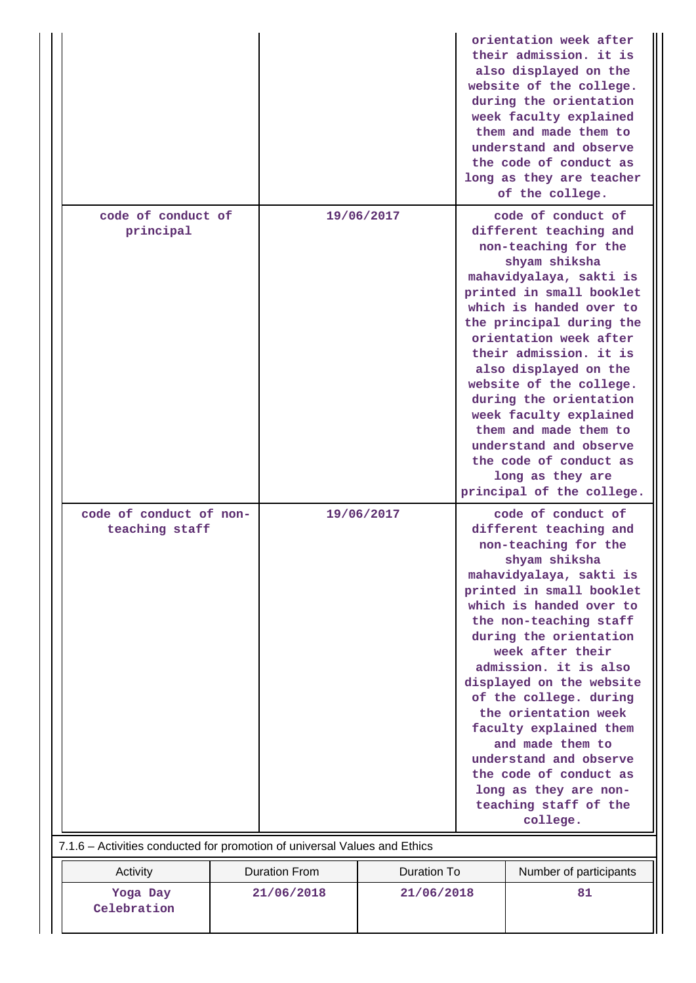|                                                                           |                                            |            |  | orientation week after<br>their admission. it is<br>also displayed on the<br>website of the college.<br>during the orientation<br>week faculty explained<br>them and made them to                                                                                                                                                                                                                                                                                                                                      |  |  |
|---------------------------------------------------------------------------|--------------------------------------------|------------|--|------------------------------------------------------------------------------------------------------------------------------------------------------------------------------------------------------------------------------------------------------------------------------------------------------------------------------------------------------------------------------------------------------------------------------------------------------------------------------------------------------------------------|--|--|
|                                                                           |                                            |            |  | understand and observe<br>the code of conduct as<br>long as they are teacher<br>of the college.                                                                                                                                                                                                                                                                                                                                                                                                                        |  |  |
| code of conduct of<br>principal                                           |                                            | 19/06/2017 |  | code of conduct of<br>different teaching and<br>non-teaching for the<br>shyam shiksha<br>mahavidyalaya, sakti is<br>printed in small booklet<br>which is handed over to<br>the principal during the<br>orientation week after<br>their admission. it is<br>also displayed on the<br>website of the college.<br>during the orientation<br>week faculty explained<br>them and made them to<br>understand and observe<br>the code of conduct as<br>long as they are<br>principal of the college.                          |  |  |
| code of conduct of non-<br>teaching staff                                 |                                            | 19/06/2017 |  | code of conduct of<br>different teaching and<br>non-teaching for the<br>shyam shiksha<br>mahavidyalaya, sakti is<br>printed in small booklet<br>which is handed over to<br>the non-teaching staff<br>during the orientation<br>week after their<br>admission. it is also<br>displayed on the website<br>of the college. during<br>the orientation week<br>faculty explained them<br>and made them to<br>understand and observe<br>the code of conduct as<br>long as they are non-<br>teaching staff of the<br>college. |  |  |
| 7.1.6 - Activities conducted for promotion of universal Values and Ethics |                                            |            |  |                                                                                                                                                                                                                                                                                                                                                                                                                                                                                                                        |  |  |
| Activity                                                                  | <b>Duration From</b><br><b>Duration To</b> |            |  | Number of participants                                                                                                                                                                                                                                                                                                                                                                                                                                                                                                 |  |  |
| Yoga Day<br>Celebration                                                   | 21/06/2018<br>21/06/2018                   |            |  | 81                                                                                                                                                                                                                                                                                                                                                                                                                                                                                                                     |  |  |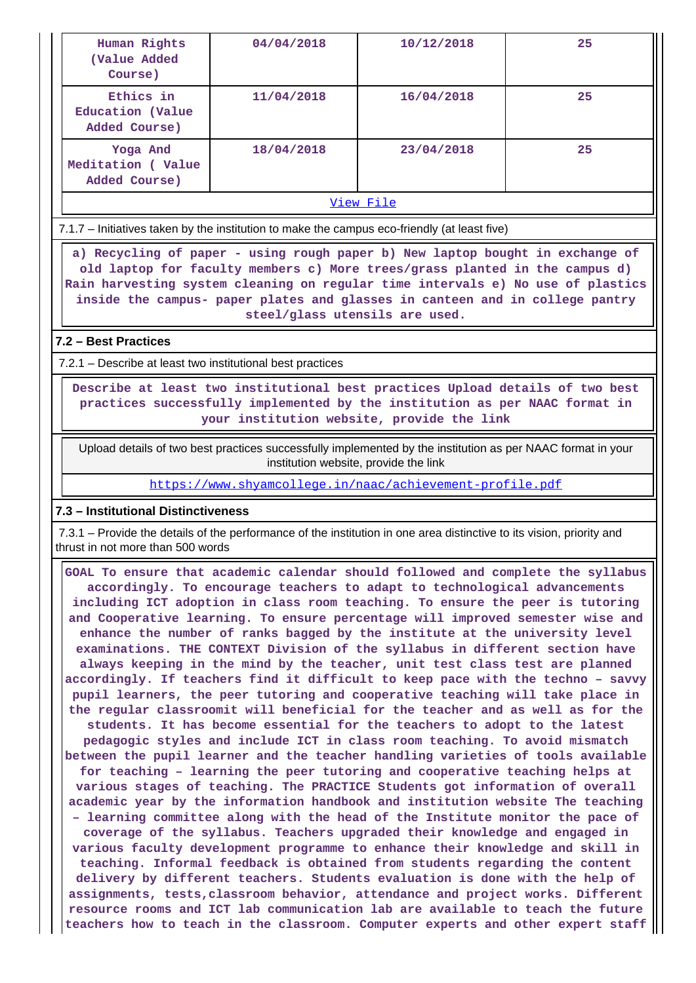| Human Rights<br>(Value Added<br>Course)        | 04/04/2018 | 10/12/2018 | 25 |  |  |  |  |
|------------------------------------------------|------------|------------|----|--|--|--|--|
| Ethics in<br>Education (Value<br>Added Course) | 11/04/2018 | 16/04/2018 | 25 |  |  |  |  |
| Yoga And<br>Meditation (Value<br>Added Course) | 18/04/2018 | 23/04/2018 | 25 |  |  |  |  |
| View File                                      |            |            |    |  |  |  |  |

7.1.7 – Initiatives taken by the institution to make the campus eco-friendly (at least five)

 **a) Recycling of paper - using rough paper b) New laptop bought in exchange of old laptop for faculty members c) More trees/grass planted in the campus d) Rain harvesting system cleaning on regular time intervals e) No use of plastics inside the campus- paper plates and glasses in canteen and in college pantry steel/glass utensils are used.**

#### **7.2 – Best Practices**

7.2.1 – Describe at least two institutional best practices

 **Describe at least two institutional best practices Upload details of two best practices successfully implemented by the institution as per NAAC format in your institution website, provide the link**

 Upload details of two best practices successfully implemented by the institution as per NAAC format in your institution website, provide the link

https://www.shyamcollege.in/naac/achievement-profile.pdf

#### **7.3 – Institutional Distinctiveness**

 7.3.1 – Provide the details of the performance of the institution in one area distinctive to its vision, priority and thrust in not more than 500 words

 **GOAL To ensure that academic calendar should followed and complete the syllabus accordingly. To encourage teachers to adapt to technological advancements including ICT adoption in class room teaching. To ensure the peer is tutoring and Cooperative learning. To ensure percentage will improved semester wise and enhance the number of ranks bagged by the institute at the university level examinations. THE CONTEXT Division of the syllabus in different section have always keeping in the mind by the teacher, unit test class test are planned accordingly. If teachers find it difficult to keep pace with the techno – savvy pupil learners, the peer tutoring and cooperative teaching will take place in the regular classroomit will beneficial for the teacher and as well as for the students. It has become essential for the teachers to adopt to the latest pedagogic styles and include ICT in class room teaching. To avoid mismatch between the pupil learner and the teacher handling varieties of tools available for teaching – learning the peer tutoring and cooperative teaching helps at various stages of teaching. The PRACTICE Students got information of overall academic year by the information handbook and institution website The teaching – learning committee along with the head of the Institute monitor the pace of coverage of the syllabus. Teachers upgraded their knowledge and engaged in various faculty development programme to enhance their knowledge and skill in teaching. Informal feedback is obtained from students regarding the content delivery by different teachers. Students evaluation is done with the help of assignments, tests,classroom behavior, attendance and project works. Different resource rooms and ICT lab communication lab are available to teach the future teachers how to teach in the classroom. Computer experts and other expert staff**